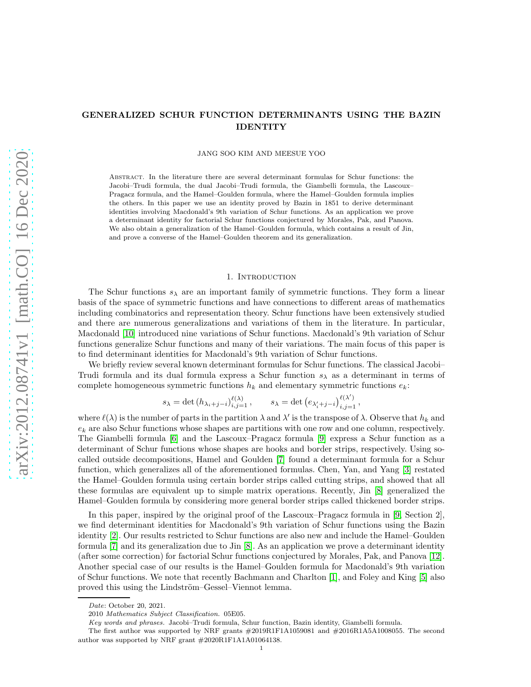# GENERALIZED SCHUR FUNCTION DETERMINANTS USING THE BAZIN IDENTITY

JANG SOO KIM AND MEESUE YOO

Abstract. In the literature there are several determinant formulas for Schur functions: the Jacobi–Trudi formula, the dual Jacobi–Trudi formula, the Giambelli formula, the Lascoux– Pragacz formula, and the Hamel–Goulden formula, where the Hamel–Goulden formula implies the others. In this paper we use an identity proved by Bazin in 1851 to derive determinant identities involving Macdonald's 9th variation of Schur functions. As an application we prove a determinant identity for factorial Schur functions conjectured by Morales, Pak, and Panova. We also obtain a generalization of the Hamel–Goulden formula, which contains a result of Jin, and prove a converse of the Hamel–Goulden theorem and its generalization.

### 1. INTRODUCTION

The Schur functions  $s_{\lambda}$  are an important family of symmetric functions. They form a linear basis of the space of symmetric functions and have connections to different areas of mathematics including combinatorics and representation theory. Schur functions have been extensively studied and there are numerous generalizations and variations of them in the literature. In particular, Macdonald [\[10\]](#page-20-0) introduced nine variations of Schur functions. Macdonald's 9th variation of Schur functions generalize Schur functions and many of their variations. The main focus of this paper is to find determinant identities for Macdonald's 9th variation of Schur functions.

We briefly review several known determinant formulas for Schur functions. The classical Jacobi– Trudi formula and its dual formula express a Schur function  $s_{\lambda}$  as a determinant in terms of complete homogeneous symmetric functions  $h_k$  and elementary symmetric functions  $e_k$ :

$$
s_{\lambda} = \det(h_{\lambda_i+j-i})_{i,j=1}^{\ell(\lambda)}, \qquad s_{\lambda} = \det(e_{\lambda'_i+j-i})_{i,j=1}^{\ell(\lambda')},
$$

where  $\ell(\lambda)$  is the number of parts in the partition  $\lambda$  and  $\lambda'$  is the transpose of  $\lambda$ . Observe that  $h_k$  and  $e_k$  are also Schur functions whose shapes are partitions with one row and one column, respectively. The Giambelli formula [\[6\]](#page-20-1) and the Lascoux–Pragacz formula [\[9\]](#page-20-2) express a Schur function as a determinant of Schur functions whose shapes are hooks and border strips, respectively. Using socalled outside decompositions, Hamel and Goulden [\[7\]](#page-20-3) found a determinant formula for a Schur function, which generalizes all of the aforementioned formulas. Chen, Yan, and Yang [\[3\]](#page-20-4) restated the Hamel–Goulden formula using certain border strips called cutting strips, and showed that all these formulas are equivalent up to simple matrix operations. Recently, Jin [\[8\]](#page-20-5) generalized the Hamel–Goulden formula by considering more general border strips called thickened border strips.

In this paper, inspired by the original proof of the Lascoux–Pragacz formula in [\[9,](#page-20-2) Section 2], we find determinant identities for Macdonald's 9th variation of Schur functions using the Bazin identity [\[2\]](#page-20-6). Our results restricted to Schur functions are also new and include the Hamel–Goulden formula [\[7\]](#page-20-3) and its generalization due to Jin [\[8\]](#page-20-5). As an application we prove a determinant identity (after some correction) for factorial Schur functions conjectured by Morales, Pak, and Panova [\[12\]](#page-20-7). Another special case of our results is the Hamel–Goulden formula for Macdonald's 9th variation of Schur functions. We note that recently Bachmann and Charlton [\[1\]](#page-20-8), and Foley and King [\[5\]](#page-20-9) also proved this using the Lindström–Gessel–Viennot lemma.

Date: October 20, 2021.

<sup>2010</sup> Mathematics Subject Classification. 05E05.

Key words and phrases. Jacobi–Trudi formula, Schur function, Bazin identity, Giambelli formula.

The first author was supported by NRF grants #2019R1F1A1059081 and #2016R1A5A1008055. The second author was supported by NRF grant  $\#2020\mathrm{R1F1A1A}01064138.$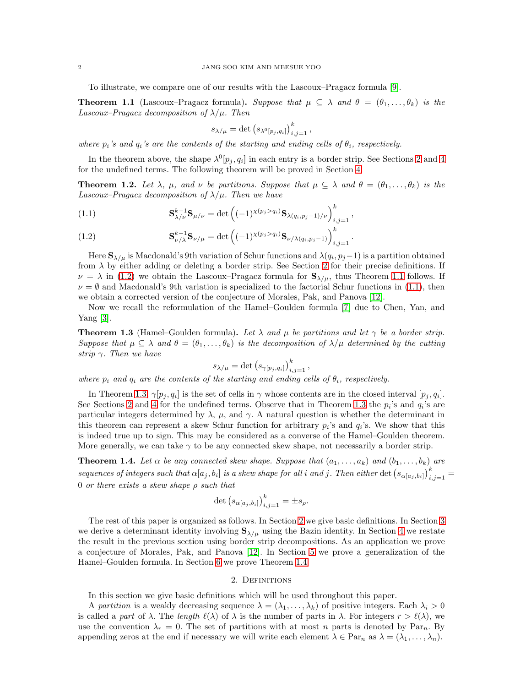To illustrate, we compare one of our results with the Lascoux–Pragacz formula [\[9\]](#page-20-2).

<span id="page-1-2"></span>**Theorem 1.1** (Lascoux–Pragacz formula). Suppose that  $\mu \subseteq \lambda$  and  $\theta = (\theta_1, \ldots, \theta_k)$  is the Lascoux–Pragacz decomposition of  $\lambda/\mu$ . Then

$$
s_{\lambda/\mu} = \det (s_{\lambda^0[p_j,q_i]})_{i,j=1}^k,
$$

where  $p_i$ 's and  $q_i$ 's are the contents of the starting and ending cells of  $\theta_i$ , respectively.

In the theorem above, the shape  $\lambda^0[p_j, q_i]$  in each entry is a border strip. See Sections [2](#page-1-0) and [4](#page-6-0) for the undefined terms. The following theorem will be proved in Section [4.](#page-6-0)

<span id="page-1-6"></span>**Theorem 1.2.** Let  $\lambda$ ,  $\mu$ , and  $\nu$  be partitions. Suppose that  $\mu \subseteq \lambda$  and  $\theta = (\theta_1, \ldots, \theta_k)$  is the Lascoux–Pragacz decomposition of  $\lambda/\mu$ . Then we have

<span id="page-1-3"></span>(1.1) 
$$
\mathbf{S}_{\lambda/\nu}^{k-1} \mathbf{S}_{\mu/\nu} = \det \left( (-1)^{\chi(p_j > q_i)} \mathbf{S}_{\lambda(q_i, p_j - 1)/\nu} \right)_{i,j=1}^k,
$$

<span id="page-1-1"></span>(1.2) 
$$
\mathbf{S}_{\nu/\lambda}^{k-1} \mathbf{S}_{\nu/\mu} = \det \left( (-1)^{\chi(p_j > q_i)} \mathbf{S}_{\nu/\lambda(q_i, p_j - 1)} \right)_{i,j=1}^k.
$$

Here  $\mathbf{S}_{\lambda/\mu}$  is Macdonald's 9th variation of Schur functions and  $\lambda(q_i, p_j-1)$  is a partition obtained from  $\lambda$  by either adding or deleting a border strip. See Section [2](#page-1-0) for their precise definitions. If  $\nu = \lambda$  in [\(1.2\)](#page-1-1) we obtain the Lascoux–Pragacz formula for  $S_{\lambda/\mu}$ , thus Theorem [1.1](#page-1-2) follows. If  $\nu = \emptyset$  and Macdonald's 9th variation is specialized to the factorial Schur functions in [\(1.1\)](#page-1-3), then we obtain a corrected version of the conjecture of Morales, Pak, and Panova [\[12\]](#page-20-7).

Now we recall the reformulation of the Hamel–Goulden formula [\[7\]](#page-20-3) due to Chen, Yan, and Yang [\[3\]](#page-20-4).

<span id="page-1-4"></span>**Theorem 1.3** (Hamel–Goulden formula). Let  $\lambda$  and  $\mu$  be partitions and let  $\gamma$  be a border strip. Suppose that  $\mu \subseteq \lambda$  and  $\theta = (\theta_1, \dots, \theta_k)$  is the decomposition of  $\lambda/\mu$  determined by the cutting strip  $\gamma$ . Then we have

$$
s_{\lambda/\mu} = \det (s_{\gamma[p_j, q_i]})_{i,j=1}^k,
$$

where  $p_i$  and  $q_i$  are the contents of the starting and ending cells of  $\theta_i$ , respectively.

In Theorem [1.3,](#page-1-4)  $\gamma[p_j, q_i]$  is the set of cells in  $\gamma$  whose contents are in the closed interval  $[p_j, q_i]$ . See Sections [2](#page-1-0) and [4](#page-6-0) for the undefined terms. Observe that in Theorem [1.3](#page-1-4) the  $p_i$ 's and  $q_i$ 's are particular integers determined by  $\lambda$ ,  $\mu$ , and  $\gamma$ . A natural question is whether the determinant in this theorem can represent a skew Schur function for arbitrary  $p_i$ 's and  $q_i$ 's. We show that this is indeed true up to sign. This may be considered as a converse of the Hamel–Goulden theorem. More generally, we can take  $\gamma$  to be any connected skew shape, not necessarily a border strip.

<span id="page-1-5"></span>**Theorem 1.4.** Let  $\alpha$  be any connected skew shape. Suppose that  $(a_1, \ldots, a_k)$  and  $(b_1, \ldots, b_k)$  are sequences of integers such that  $\alpha[a_j,b_i]$  is a skew shape for all i and j. Then either  $\det(s_{\alpha[a_j,b_i]})_{i,j=1}^k =$ 0 or there exists a skew shape  $\rho$  such that

$$
\det (s_{\alpha[a_j,b_i]})_{i,j=1}^k = \pm s_\rho.
$$

The rest of this paper is organized as follows. In Section [2](#page-1-0) we give basic definitions. In Section [3](#page-4-0) we derive a determinant identity involving  $S_{\lambda/\mu}$  using the Bazin identity. In Section [4](#page-6-0) we restate the result in the previous section using border strip decompositions. As an application we prove a conjecture of Morales, Pak, and Panova [\[12\]](#page-20-7). In Section [5](#page-12-0) we prove a generalization of the Hamel–Goulden formula. In Section [6](#page-17-0) we prove Theorem [1.4.](#page-1-5)

### 2. DEFINITIONS

<span id="page-1-0"></span>In this section we give basic definitions which will be used throughout this paper.

A partition is a weakly decreasing sequence  $\lambda = (\lambda_1, \dots, \lambda_k)$  of positive integers. Each  $\lambda_i > 0$ is called a part of  $\lambda$ . The length  $\ell(\lambda)$  of  $\lambda$  is the number of parts in  $\lambda$ . For integers  $r > \ell(\lambda)$ , we use the convention  $\lambda_r = 0$ . The set of partitions with at most n parts is denoted by Par<sub>n</sub>. By appending zeros at the end if necessary we will write each element  $\lambda \in \text{Par}_n$  as  $\lambda = (\lambda_1, \ldots, \lambda_n)$ .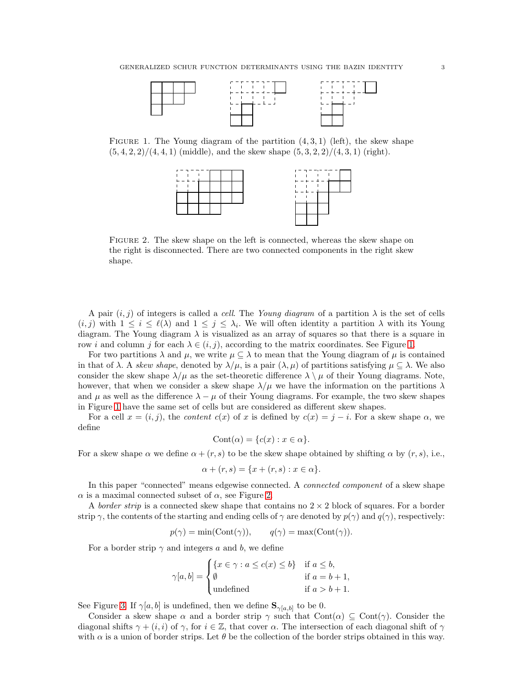

FIGURE 1. The Young diagram of the partition  $(4, 3, 1)$  (left), the skew shape  $(5, 4, 2, 2)/(4, 4, 1)$  (middle), and the skew shape  $(5, 3, 2, 2)/(4, 3, 1)$  (right).

<span id="page-2-0"></span>

<span id="page-2-1"></span>Figure 2. The skew shape on the left is connected, whereas the skew shape on the right is disconnected. There are two connected components in the right skew shape.

A pair  $(i, j)$  of integers is called a *cell*. The Young diagram of a partition  $\lambda$  is the set of cells  $(i, j)$  with  $1 \leq i \leq \ell(\lambda)$  and  $1 \leq j \leq \lambda_i$ . We will often identity a partition  $\lambda$  with its Young diagram. The Young diagram  $\lambda$  is visualized as an array of squares so that there is a square in row i and column j for each  $\lambda \in (i, j)$ , according to the matrix coordinates. See Figure [1.](#page-2-0)

For two partitions  $\lambda$  and  $\mu$ , we write  $\mu \subseteq \lambda$  to mean that the Young diagram of  $\mu$  is contained in that of  $\lambda$ . A skew shape, denoted by  $\lambda/\mu$ , is a pair  $(\lambda, \mu)$  of partitions satisfying  $\mu \subseteq \lambda$ . We also consider the skew shape  $\lambda/\mu$  as the set-theoretic difference  $\lambda \setminus \mu$  of their Young diagrams. Note, however, that when we consider a skew shape  $\lambda/\mu$  we have the information on the partitions  $\lambda$ and  $\mu$  as well as the difference  $\lambda - \mu$  of their Young diagrams. For example, the two skew shapes in Figure [1](#page-2-0) have the same set of cells but are considered as different skew shapes.

For a cell  $x = (i, j)$ , the *content*  $c(x)$  of x is defined by  $c(x) = j - i$ . For a skew shape  $\alpha$ , we define

$$
Cont(\alpha) = \{c(x) : x \in \alpha\}.
$$

For a skew shape  $\alpha$  we define  $\alpha + (r, s)$  to be the skew shape obtained by shifting  $\alpha$  by  $(r, s)$ , i.e.,

$$
\alpha + (r, s) = \{x + (r, s) : x \in \alpha\}.
$$

In this paper "connected" means edgewise connected. A *connected component* of a skew shape  $\alpha$  is a maximal connected subset of  $\alpha$ , see Figure [2.](#page-2-1)

A border strip is a connected skew shape that contains no  $2 \times 2$  block of squares. For a border strip  $\gamma$ , the contents of the starting and ending cells of  $\gamma$  are denoted by  $p(\gamma)$  and  $q(\gamma)$ , respectively:

$$
p(\gamma) = \min(\text{Cont}(\gamma)), \qquad q(\gamma) = \max(\text{Cont}(\gamma)).
$$

For a border strip  $\gamma$  and integers a and b, we define

$$
\gamma[a, b] = \begin{cases} \{x \in \gamma : a \le c(x) \le b\} & \text{if } a \le b, \\ \emptyset & \text{if } a = b + 1, \\ \text{undefined} & \text{if } a > b + 1. \end{cases}
$$

See Figure [3.](#page-3-0) If  $\gamma[a, b]$  is undefined, then we define  $\mathbf{S}_{\gamma[a, b]}$  to be 0.

Consider a skew shape  $\alpha$  and a border strip  $\gamma$  such that Cont $(\alpha) \subseteq \text{Cont}(\gamma)$ . Consider the diagonal shifts  $\gamma + (i, i)$  of  $\gamma$ , for  $i \in \mathbb{Z}$ , that cover  $\alpha$ . The intersection of each diagonal shift of  $\gamma$ with  $\alpha$  is a union of border strips. Let  $\theta$  be the collection of the border strips obtained in this way.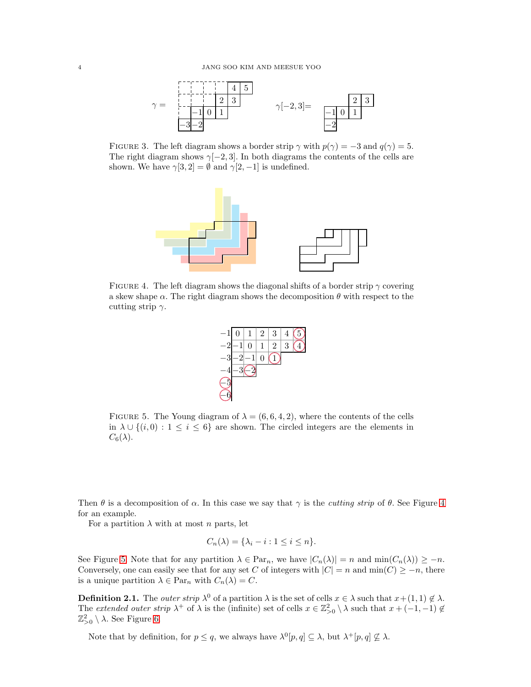

FIGURE 3. The left diagram shows a border strip  $\gamma$  with  $p(\gamma) = -3$  and  $q(\gamma) = 5$ . The right diagram shows  $\gamma[-2, 3]$ . In both diagrams the contents of the cells are shown. We have  $\gamma[3,2] = \emptyset$  and  $\gamma[2,-1]$  is undefined.

<span id="page-3-0"></span>

<span id="page-3-1"></span>FIGURE 4. The left diagram shows the diagonal shifts of a border strip  $\gamma$  covering a skew shape  $\alpha$ . The right diagram shows the decomposition  $\theta$  with respect to the cutting strip  $\gamma$ .



<span id="page-3-2"></span>FIGURE 5. The Young diagram of  $\lambda = (6, 6, 4, 2)$ , where the contents of the cells in  $\lambda \cup \{(i,0): 1 \leq i \leq 6\}$  are shown. The circled integers are the elements in  $C_6(\lambda)$ .

Then  $\theta$  is a decomposition of  $\alpha$ . In this case we say that  $\gamma$  is the *cutting strip* of  $\theta$ . See Figure [4](#page-3-1) for an example.

For a partition  $\lambda$  with at most n parts, let

$$
C_n(\lambda) = \{\lambda_i - i : 1 \le i \le n\}.
$$

See Figure [5.](#page-3-2) Note that for any partition  $\lambda \in \text{Par}_n$ , we have  $|C_n(\lambda)| = n$  and  $\min(C_n(\lambda)) \geq -n$ . Conversely, one can easily see that for any set C of integers with  $|C| = n$  and  $\min(C) \geq -n$ , there is a unique partition  $\lambda \in \text{Par}_n$  with  $C_n(\lambda) = C$ .

**Definition 2.1.** The *outer strip*  $\lambda^0$  of a partition  $\lambda$  is the set of cells  $x \in \lambda$  such that  $x + (1, 1) \notin \lambda$ . The extended outer strip  $\lambda^+$  of  $\lambda$  is the (infinite) set of cells  $x \in \mathbb{Z}_{>0}^2 \setminus \lambda$  such that  $x + (-1, -1) \notin$  $\mathbb{Z}_{>0}^2 \setminus \lambda$ . See Figure [6.](#page-4-1)

Note that by definition, for  $p \leq q$ , we always have  $\lambda^0[p,q] \subseteq \lambda$ , but  $\lambda^+[p,q] \nsubseteq \lambda$ .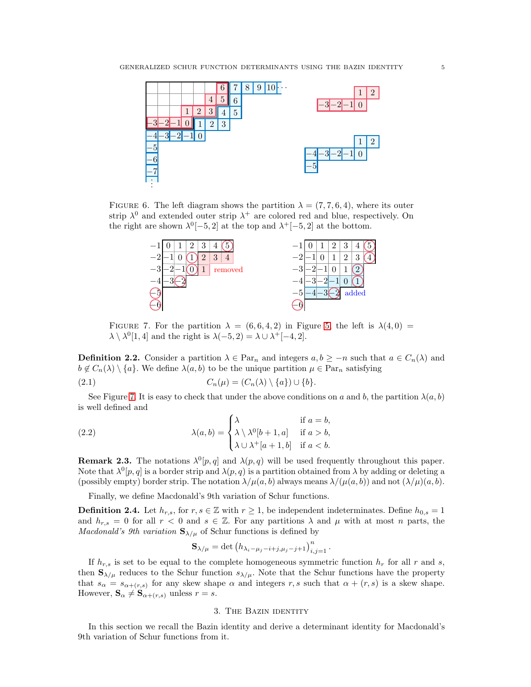

FIGURE 6. The left diagram shows the partition  $\lambda = (7, 7, 6, 4)$ , where its outer strip  $\lambda^0$  and extended outer strip  $\lambda^+$  are colored red and blue, respectively. On the right are shown  $\lambda^{0}[-5,2]$  at the top and  $\lambda^{+}[-5,2]$  at the bottom.

<span id="page-4-1"></span>

<span id="page-4-2"></span>FIGURE 7. For the partition  $\lambda = (6, 6, 4, 2)$  in Figure [5,](#page-3-2) the left is  $\lambda(4, 0)$  =  $\lambda \setminus \lambda^0[1, 4]$  and the right is  $\lambda(-5, 2) = \lambda \cup \lambda^+[-4, 2]$ .

**Definition 2.2.** Consider a partition  $\lambda \in \text{Par}_n$  and integers  $a, b \geq -n$  such that  $a \in C_n(\lambda)$  and  $b \notin C_n(\lambda) \setminus \{a\}.$  We define  $\lambda(a, b)$  to be the unique partition  $\mu \in \operatorname{Par}_n$  satisfying

(2.1) 
$$
C_n(\mu) = (C_n(\lambda) \setminus \{a\}) \cup \{b\}.
$$

See Figure [7.](#page-4-2) It is easy to check that under the above conditions on a and b, the partition  $\lambda(a, b)$ is well defined and

(2.2) 
$$
\lambda(a,b) = \begin{cases} \lambda & \text{if } a=b, \\ \lambda \setminus \lambda^0[b+1,a] & \text{if } a>b, \\ \lambda \cup \lambda^+[a+1,b] & \text{if } a
$$

**Remark 2.3.** The notations  $\lambda^0[p, q]$  and  $\lambda(p, q)$  will be used frequently throughout this paper. Note that  $\lambda^0[p,q]$  is a border strip and  $\lambda(p,q)$  is a partition obtained from  $\lambda$  by adding or deleting a (possibly empty) border strip. The notation  $\lambda/\mu(a, b)$  always means  $\lambda/(\mu(a, b))$  and not  $(\lambda/\mu)(a, b)$ .

Finally, we define Macdonald's 9th variation of Schur functions.

**Definition 2.4.** Let  $h_{r,s}$ , for  $r, s \in \mathbb{Z}$  with  $r \geq 1$ , be independent indeterminates. Define  $h_{0,s} = 1$ and  $h_{r,s} = 0$  for all  $r < 0$  and  $s \in \mathbb{Z}$ . For any partitions  $\lambda$  and  $\mu$  with at most n parts, the *Macdonald's 9th variation*  $S_{\lambda/\mu}$  of Schur functions is defined by

$$
\mathbf{S}_{\lambda/\mu} = \det (h_{\lambda_i - \mu_j - i + j, \mu_j - j + 1})_{i,j=1}^n.
$$

If  $h_{r,s}$  is set to be equal to the complete homogeneous symmetric function  $h_r$  for all r and s, then  $S_{\lambda/\mu}$  reduces to the Schur function  $s_{\lambda/\mu}$ . Note that the Schur functions have the property that  $s_{\alpha} = s_{\alpha+(r,s)}$  for any skew shape  $\alpha$  and integers r, s such that  $\alpha + (r,s)$  is a skew shape. However,  $\mathbf{S}_{\alpha} \neq \mathbf{S}_{\alpha+(r,s)}$  unless  $r = s$ .

## 3. The Bazin identity

<span id="page-4-0"></span>In this section we recall the Bazin identity and derive a determinant identity for Macdonald's 9th variation of Schur functions from it.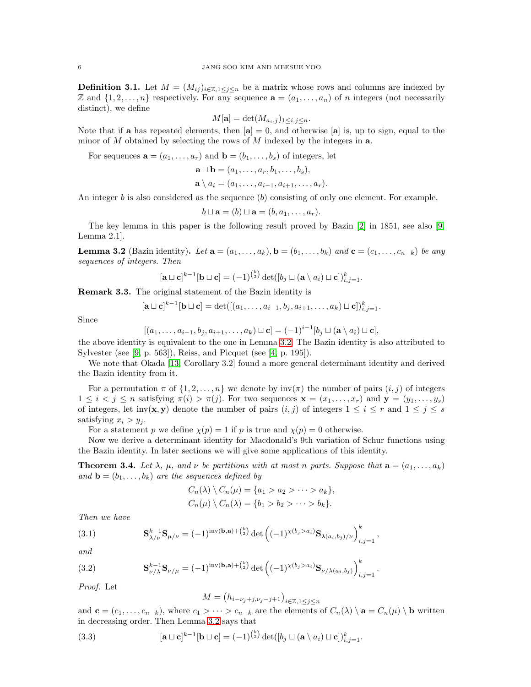**Definition 3.1.** Let  $M = (M_{ij})_{i \in \mathbb{Z}, 1 \leq j \leq n}$  be a matrix whose rows and columns are indexed by Z and  $\{1, 2, \ldots, n\}$  respectively. For any sequence  $\mathbf{a} = (a_1, \ldots, a_n)$  of n integers (not necessarily distinct), we define

$$
M[\mathbf{a}] = \det(M_{a_i,j})_{1 \le i,j \le n}.
$$

Note that if **a** has repeated elements, then  $[\mathbf{a}] = 0$ , and otherwise  $[\mathbf{a}]$  is, up to sign, equal to the minor of M obtained by selecting the rows of M indexed by the integers in  $a$ .

For sequences  $\mathbf{a} = (a_1, \ldots, a_r)$  and  $\mathbf{b} = (b_1, \ldots, b_s)$  of integers, let

$$
\mathbf{a} \sqcup \mathbf{b} = (a_1, \ldots, a_r, b_1, \ldots, b_s),
$$

 $\mathbf{a} \setminus a_i = (a_1, \ldots, a_{i-1}, a_{i+1}, \ldots, a_r).$ 

An integer b is also considered as the sequence  $(b)$  consisting of only one element. For example,

$$
b \sqcup \mathbf{a} = (b) \sqcup \mathbf{a} = (b, a_1, \dots, a_r).
$$

The key lemma in this paper is the following result proved by Bazin [\[2\]](#page-20-6) in 1851, see also [\[9,](#page-20-2) Lemma 2.1].

<span id="page-5-0"></span>**Lemma 3.2** (Bazin identity). Let  $\mathbf{a} = (a_1, \ldots, a_k)$ ,  $\mathbf{b} = (b_1, \ldots, b_k)$  and  $\mathbf{c} = (c_1, \ldots, c_{n-k})$  be any sequences of integers. Then

$$
[\mathbf{a} \sqcup \mathbf{c}]^{k-1} [\mathbf{b} \sqcup \mathbf{c}] = (-1)^{\binom{k}{2}} \det([b_j \sqcup (\mathbf{a} \setminus a_i) \sqcup \mathbf{c}])_{i,j=1}^k.
$$

Remark 3.3. The original statement of the Bazin identity is

$$
[\mathbf{a} \sqcup \mathbf{c}]^{k-1} [\mathbf{b} \sqcup \mathbf{c}] = \det([(a_1, \ldots, a_{i-1}, b_j, a_{i+1}, \ldots, a_k) \sqcup \mathbf{c}])_{i,j=1}^k.
$$

Since

$$
[(a_1,\ldots,a_{i-1},b_j,a_{i+1},\ldots,a_k)\sqcup\mathbf{c}] = (-1)^{i-1}[b_j\sqcup(\mathbf{a}\setminus a_i)\sqcup\mathbf{c}],
$$

the above identity is equivalent to the one in Lemma [3.2.](#page-5-0) The Bazin identity is also attributed to Sylvester (see [\[9,](#page-20-2) p. 563]), Reiss, and Picquet (see [\[4,](#page-20-10) p. 195]).

We note that Okada [\[13,](#page-20-11) Corollary 3.2] found a more general determinant identity and derived the Bazin identity from it.

For a permutation  $\pi$  of  $\{1, 2, \ldots, n\}$  we denote by  $inv(\pi)$  the number of pairs  $(i, j)$  of integers  $1 \leq i \leq j \leq n$  satisfying  $\pi(i) > \pi(j)$ . For two sequences  $\mathbf{x} = (x_1, \ldots, x_r)$  and  $\mathbf{y} = (y_1, \ldots, y_s)$ of integers, let inv(**x**, **y**) denote the number of pairs  $(i, j)$  of integers  $1 \leq i \leq r$  and  $1 \leq j \leq s$ satisfying  $x_i > y_j$ .

For a statement p we define  $\chi(p) = 1$  if p is true and  $\chi(p) = 0$  otherwise.

Now we derive a determinant identity for Macdonald's 9th variation of Schur functions using the Bazin identity. In later sections we will give some applications of this identity.

<span id="page-5-4"></span>**Theorem 3.4.** Let  $\lambda$ ,  $\mu$ , and  $\nu$  be partitions with at most n parts. Suppose that  $\mathbf{a} = (a_1, \ldots, a_k)$ and  $\mathbf{b} = (b_1, \ldots, b_k)$  are the sequences defined by

<span id="page-5-2"></span>
$$
C_n(\lambda) \setminus C_n(\mu) = \{a_1 > a_2 > \cdots > a_k\},
$$
  

$$
C_n(\mu) \setminus C_n(\lambda) = \{b_1 > b_2 > \cdots > b_k\}.
$$

Then we have

(3.1) 
$$
\mathbf{S}_{\lambda/\nu}^{k-1} \mathbf{S}_{\mu/\nu} = (-1)^{\text{inv}(\mathbf{b}, \mathbf{a}) + {k \choose 2}} \det \left( (-1)^{\chi(b_j > a_i)} \mathbf{S}_{\lambda(a_i, b_j)/\nu} \right)_{i,j=1}^k,
$$

and

<span id="page-5-3"></span>(3.2) 
$$
\mathbf{S}_{\nu/\lambda}^{k-1} \mathbf{S}_{\nu/\mu} = (-1)^{inv(\mathbf{b}, \mathbf{a}) + {k \choose 2}} \det \left( (-1)^{\chi(b_j > a_i)} \mathbf{S}_{\nu/\lambda(a_i, b_j)} \right)_{i,j=1}^k
$$

Proof. Let

<span id="page-5-1"></span>
$$
M = (h_{i-\nu_j+j,\nu_j-j+1})_{i \in \mathbb{Z}, 1 \le j \le n}
$$

.

and  $\mathbf{c} = (c_1, \ldots, c_{n-k})$ , where  $c_1 > \cdots > c_{n-k}$  are the elements of  $C_n(\lambda) \setminus \mathbf{a} = C_n(\mu) \setminus \mathbf{b}$  written in decreasing order. Then Lemma [3.2](#page-5-0) says that

(3.3) 
$$
[\mathbf{a} \sqcup \mathbf{c}]^{k-1} [\mathbf{b} \sqcup \mathbf{c}] = (-1)^{\binom{k}{2}} \det([b_j \sqcup (\mathbf{a} \setminus a_i) \sqcup \mathbf{c}])_{i,j=1}^k.
$$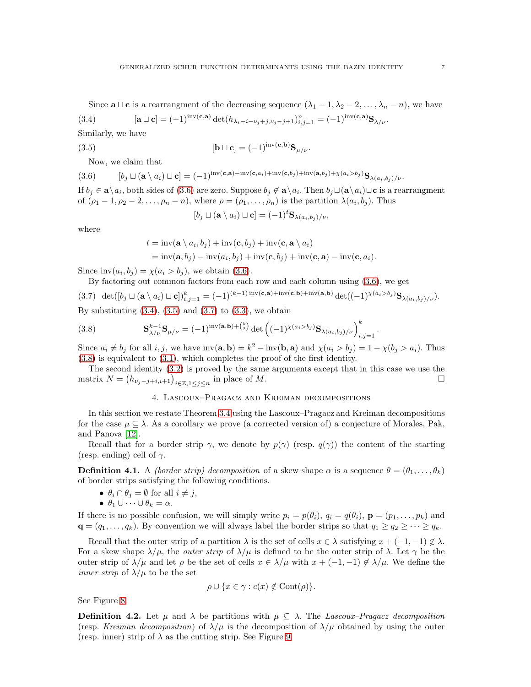<span id="page-6-2"></span>Since  $\mathbf{a} \sqcup \mathbf{c}$  is a rearrangment of the decreasing sequence  $(\lambda_1 - 1, \lambda_2 - 2, \ldots, \lambda_n - n)$ , we have

(3.4) 
$$
[\mathbf{a} \sqcup \mathbf{c}] = (-1)^{\text{inv}(\mathbf{c}, \mathbf{a})} \det(h_{\lambda_i - i - \nu_j + j, \nu_j - j + 1})_{i, j = 1}^n = (-1)^{\text{inv}(\mathbf{c}, \mathbf{a})} \mathbf{S}_{\lambda/\nu}.
$$

Similarly, we have

(3.5) 
$$
[\mathbf{b} \sqcup \mathbf{c}] = (-1)^{\text{inv}(\mathbf{c}, \mathbf{b})} \mathbf{S}_{\mu/\nu}.
$$

<span id="page-6-1"></span>Now, we claim that

$$
(3.6) \qquad [b_j \sqcup (\mathbf{a} \setminus a_i) \sqcup \mathbf{c}] = (-1)^{\mathrm{inv}(\mathbf{c}, \mathbf{a}) - \mathrm{inv}(\mathbf{c}, a_i) + \mathrm{inv}(\mathbf{c}, b_j) + \mathrm{inv}(\mathbf{a}, b_j) + \chi(a_i > b_j)} \mathbf{S}_{\lambda(a_i, b_j)/\nu}.
$$

If  $b_j \in \mathbf{a} \setminus a_i$ , both sides of  $(3.6)$  are zero. Suppose  $b_j \not\in \mathbf{a} \setminus a_i$ . Then  $b_j \sqcup (\mathbf{a} \setminus a_i) \sqcup \mathbf{c}$  is a rearrangment of  $(\rho_1-1, \rho_2-2,\ldots,\rho_n-n)$ , where  $\rho=(\rho_1,\ldots,\rho_n)$  is the partition  $\lambda(a_i,b_j)$ . Thus

<span id="page-6-3"></span>
$$
[b_j \sqcup (\mathbf{a} \setminus a_i) \sqcup \mathbf{c}] = (-1)^t \mathbf{S}_{\lambda(a_i, b_j)/\nu},
$$

where

$$
t = inv(\mathbf{a} \setminus a_i, b_j) + inv(\mathbf{c}, b_j) + inv(\mathbf{c}, \mathbf{a} \setminus a_i)
$$
  
= inv(\mathbf{a}, b\_j) - inv(a\_i, b\_j) + inv(\mathbf{c}, b\_j) + inv(\mathbf{c}, \mathbf{a}) - inv(\mathbf{c}, a\_i).

Since  $inv(a_i, b_j) = \chi(a_i > b_j)$ , we obtain [\(3.6\)](#page-6-1).

By factoring out common factors from each row and each column using [\(3.6\)](#page-6-1), we get

<span id="page-6-4"></span>(3.7) 
$$
\det([b_j \sqcup (\mathbf{a} \setminus a_i) \sqcup \mathbf{c}])_{i,j=1}^k = (-1)^{(k-1)\operatorname{inv}(\mathbf{c},\mathbf{a})+\operatorname{inv}(\mathbf{c},\mathbf{b})+\operatorname{inv}(\mathbf{a},\mathbf{b})} \det((-1)^{\chi(a_i > b_j)} \mathbf{S}_{\lambda(a_i,b_j)/\nu}).
$$
 By substituting (3.4), (3.5) and (3.7) to (3.3), we obtain

<span id="page-6-5"></span>(3.8) 
$$
\mathbf{S}_{\lambda/\nu}^{k-1} \mathbf{S}_{\mu/\nu} = (-1)^{inv(\mathbf{a}, \mathbf{b}) + {k \choose 2}} \det \left( (-1)^{\chi(a_i > b_j)} \mathbf{S}_{\lambda(a_i, b_j)/\nu} \right)_{i,j=1}^k.
$$

Since  $a_i \neq b_j$  for all  $i, j$ , we have  $inv(\mathbf{a}, \mathbf{b}) = k^2 - inv(\mathbf{b}, \mathbf{a})$  and  $\chi(a_i > b_j) = 1 - \chi(b_j > a_i)$ . Thus [\(3.8\)](#page-6-5) is equivalent to [\(3.1\)](#page-5-2), which completes the proof of the first identity.

<span id="page-6-0"></span>The second identity [\(3.2\)](#page-5-3) is proved by the same arguments except that in this case we use the matrix  $N = (h_{\nu_j - j + i, i+1})_{i \in \mathbb{Z}, 1 \leq j \leq n}$  in place of M.

# 4. Lascoux–Pragacz and Kreiman decompositions

In this section we restate Theorem [3.4](#page-5-4) using the Lascoux–Pragacz and Kreiman decompositions for the case  $\mu \subseteq \lambda$ . As a corollary we prove (a corrected version of) a conjecture of Morales, Pak, and Panova [\[12\]](#page-20-7).

Recall that for a border strip  $\gamma$ , we denote by  $p(\gamma)$  (resp.  $q(\gamma)$ ) the content of the starting (resp. ending) cell of  $\gamma$ .

**Definition 4.1.** A *(border strip) decomposition* of a skew shape  $\alpha$  is a sequence  $\theta = (\theta_1, \dots, \theta_k)$ of border strips satisfying the following conditions.

- $\theta_i \cap \theta_j = \emptyset$  for all  $i \neq j$ ,
- $\theta_1 \cup \cdots \cup \theta_k = \alpha$ .

If there is no possible confusion, we will simply write  $p_i = p(\theta_i)$ ,  $q_i = q(\theta_i)$ ,  $\mathbf{p} = (p_1, \ldots, p_k)$  and  $\mathbf{q} = (q_1, \ldots, q_k)$ . By convention we will always label the border strips so that  $q_1 \geq q_2 \geq \cdots \geq q_k$ .

Recall that the outer strip of a partition  $\lambda$  is the set of cells  $x \in \lambda$  satisfying  $x + (-1, -1) \notin \lambda$ . For a skew shape  $\lambda/\mu$ , the *outer strip* of  $\lambda/\mu$  is defined to be the outer strip of  $\lambda$ . Let  $\gamma$  be the outer strip of  $\lambda/\mu$  and let  $\rho$  be the set of cells  $x \in \lambda/\mu$  with  $x + (-1, -1) \notin \lambda/\mu$ . We define the *inner strip* of  $\lambda/\mu$  to be the set

$$
\rho \cup \{x \in \gamma : c(x) \notin \text{Cont}(\rho)\}.
$$

See Figure [8.](#page-7-0)

**Definition 4.2.** Let  $\mu$  and  $\lambda$  be partitions with  $\mu \subseteq \lambda$ . The Lascoux–Pragacz decomposition (resp. Kreiman decomposition) of  $\lambda/\mu$  is the decomposition of  $\lambda/\mu$  obtained by using the outer (resp. inner) strip of  $\lambda$  as the cutting strip. See Figure [9.](#page-7-1)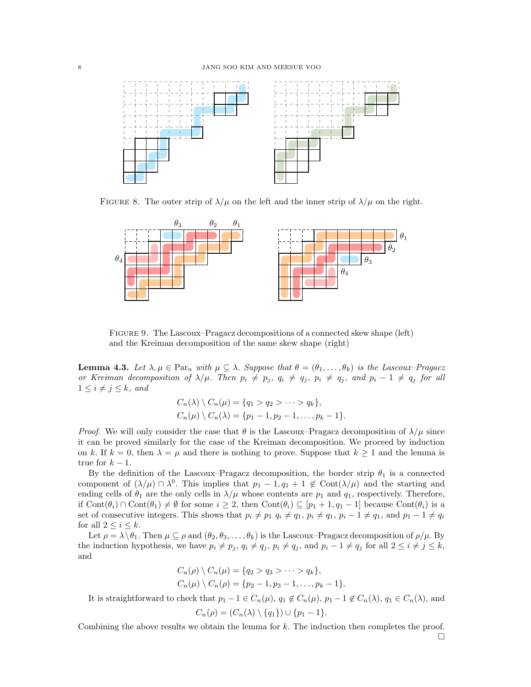

<span id="page-7-0"></span>FIGURE 8. The outer strip of  $\lambda/\mu$  on the left and the inner strip of  $\lambda/\mu$  on the right.



<span id="page-7-1"></span>Figure 9. The Lascoux–Pragacz decompositions of a connected skew shape (left) and the Kreiman decomposition of the same skew shape (right)

<span id="page-7-2"></span>**Lemma 4.3.** Let  $\lambda, \mu \in \text{Par}_n$  with  $\mu \subseteq \lambda$ . Suppose that  $\theta = (\theta_1, \ldots, \theta_k)$  is the Lascoux–Pragacz or Kreiman decomposition of  $\lambda/\mu$ . Then  $p_i \neq p_j$ ,  $q_i \neq q_j$ ,  $p_i \neq q_j$ , and  $p_i - 1 \neq q_j$  for all  $1 \leq i \neq j \leq k$ , and

$$
C_n(\lambda) \setminus C_n(\mu) = \{q_1 > q_2 > \cdots > q_k\},
$$
  
\n
$$
C_n(\mu) \setminus C_n(\lambda) = \{p_1 - 1, p_2 - 1, \ldots, p_k - 1\}.
$$

*Proof.* We will only consider the case that  $\theta$  is the Lascoux–Pragacz decomposition of  $\lambda/\mu$  since it can be proved similarly for the case of the Kreiman decomposition. We proceed by induction on k. If  $k = 0$ , then  $\lambda = \mu$  and there is nothing to prove. Suppose that  $k \ge 1$  and the lemma is true for  $k - 1$ .

By the definition of the Lascoux–Pragacz decomposition, the border strip  $\theta_1$  is a connected component of  $(\lambda/\mu) \cap \lambda^0$ . This implies that  $p_1 - 1, q_1 + 1 \notin \text{Cont}(\lambda/\mu)$  and the starting and ending cells of  $\theta_1$  are the only cells in  $\lambda/\mu$  whose contents are  $p_1$  and  $q_1$ , respectively. Therefore, if  $Cont(\theta_i) \cap Cont(\theta_1) \neq \emptyset$  for some  $i \geq 2$ , then  $Cont(\theta_i) \subseteq [p_1 + 1, q_1 - 1]$  because  $Cont(\theta_i)$  is a set of consecutive integers. This shows that  $p_i \neq p_1$   $q_i \neq q_1$ ,  $p_i \neq q_1$ ,  $p_i - 1 \neq q_1$ , and  $p_1 - 1 \neq q_i$ for all  $2 \leq i \leq k$ .

Let  $\rho = \lambda \setminus \theta_1$ . Then  $\mu \subseteq \rho$  and  $(\theta_2, \theta_3, \ldots, \theta_k)$  is the Lascoux–Pragacz decomposition of  $\rho/\mu$ . By the induction hypothesis, we have  $p_i \neq p_j$ ,  $q_i \neq q_j$ ,  $p_i \neq q_j$ , and  $p_i - 1 \neq q_j$  for all  $2 \leq i \neq j \leq k$ , and

$$
C_n(\rho) \setminus C_n(\mu) = \{q_2 > q_3 > \cdots > q_k\},
$$
  
\n
$$
C_n(\mu) \setminus C_n(\rho) = \{p_2 - 1, p_3 - 1, \ldots, p_k - 1\}
$$

It is straightforward to check that  $p_1 - 1 \in C_n(\mu)$ ,  $q_1 \notin C_n(\mu)$ ,  $p_1 - 1 \notin C_n(\lambda)$ ,  $q_1 \in C_n(\lambda)$ , and

$$
C_n(\rho) = (C_n(\lambda) \setminus \{q_1\}) \cup \{p_1 - 1\}
$$

Combining the above results we obtain the lemma for k. The induction then completes the proof.

 $\Box$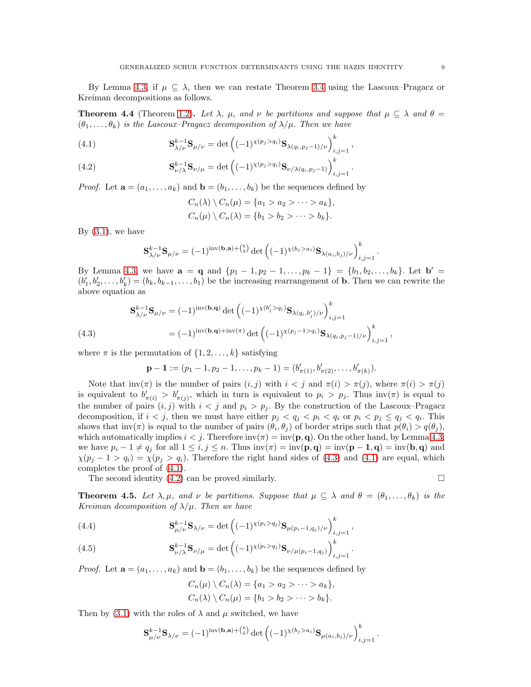By Lemma [4.3,](#page-7-2) if  $\mu \subseteq \lambda$ , then we can restate Theorem [3.4](#page-5-4) using the Lascoux–Pragacz or Kreiman decompositions as follows.

<span id="page-8-3"></span>**Theorem 4.4** (Theorem [1.2\)](#page-1-6). Let  $\lambda$ ,  $\mu$ , and  $\nu$  be partitions and suppose that  $\mu \subseteq \lambda$  and  $\theta =$  $(\theta_1, \ldots, \theta_k)$  is the Lascoux–Pragacz decomposition of  $\lambda/\mu$ . Then we have

<span id="page-8-1"></span>(4.1) 
$$
\mathbf{S}_{\lambda/\nu}^{k-1} \mathbf{S}_{\mu/\nu} = \det \left( (-1)^{\chi(p_j > q_i)} \mathbf{S}_{\lambda(q_i, p_j - 1)/\nu} \right)_{i,j=1}^k,
$$

<span id="page-8-2"></span>(4.2) 
$$
\mathbf{S}_{\nu/\lambda}^{k-1} \mathbf{S}_{\nu/\mu} = \det \left( (-1)^{\chi(p_j > q_i)} \mathbf{S}_{\nu/\lambda(q_i, p_j - 1)} \right)_{i,j=1}^k.
$$

*Proof.* Let  $\mathbf{a} = (a_1, \ldots, a_k)$  and  $\mathbf{b} = (b_1, \ldots, b_k)$  be the sequences defined by

$$
C_n(\lambda) \setminus C_n(\mu) = \{a_1 > a_2 > \cdots > a_k\},
$$
  

$$
C_n(\mu) \setminus C_n(\lambda) = \{b_1 > b_2 > \cdots > b_k\}.
$$

By  $(3.1)$ , we have

$$
\mathbf{S}_{\lambda/\nu}^{k-1} \mathbf{S}_{\mu/\nu} = (-1)^{\text{inv}(\mathbf{b}, \mathbf{a}) + {k \choose 2}} \det \left( (-1)^{\chi(b_j > a_i)} \mathbf{S}_{\lambda(a_i, b_j)/\nu} \right)_{i,j=1}^k.
$$

By Lemma [4.3,](#page-7-2) we have  $\mathbf{a} = \mathbf{q}$  and  $\{p_1 - 1, p_2 - 1, \ldots, p_k - 1\} = \{b_1, b_2, \ldots, b_k\}$ . Let  $\mathbf{b}' =$  $(b'_1, b'_2, \ldots, b'_k) = (b_k, b_{k-1}, \ldots, b_1)$  be the increasing rearrangement of **b**. Then we can rewrite the above equation as

(4.3) 
$$
\mathbf{S}_{\lambda/\nu}^{k-1} \mathbf{S}_{\mu/\nu} = (-1)^{\text{inv}(\mathbf{b}, \mathbf{q})} \det \left( (-1)^{\chi(b'_j > q_i)} \mathbf{S}_{\lambda(q_i, b'_j)/\nu} \right)_{i,j=1}^k \n= (-1)^{\text{inv}(\mathbf{b}, \mathbf{q}) + \text{inv}(\pi)} \det \left( (-1)^{\chi(p_j - 1 > q_i)} \mathbf{S}_{\lambda(q_i, p_j - 1)/\nu} \right)_{i,j=1}^k,
$$

<span id="page-8-0"></span>where  $\pi$  is the permutation of  $\{1, 2, \ldots, k\}$  satisfying

$$
\mathbf{p}-\mathbf{1}:=(p_1-1,p_2-1,\ldots,p_k-1)=(b'_{\pi(1)},b'_{\pi(2)},\ldots,b'_{\pi(k)}).
$$

Note that  $inv(\pi)$  is the number of pairs  $(i, j)$  with  $i < j$  and  $\pi(i) > \pi(j)$ , where  $\pi(i) > \pi(j)$ is equivalent to  $b'_{\pi(i)} > b'_{\pi(j)}$ , which in turn is equivalent to  $p_i > p_j$ . Thus inv( $\pi$ ) is equal to the number of pairs  $(i, j)$  with  $i < j$  and  $p_i > p_j$ . By the construction of the Lascoux–Pragacz decomposition, if  $i < j$ , then we must have either  $p_j < q_j < p_i < q_i$  or  $p_i < p_j \le q_j < q_i$ . This shows that  $\text{inv}(\pi)$  is equal to the number of pairs  $(\theta_i, \theta_j)$  of border strips such that  $p(\theta_i) > q(\theta_j)$ , which automatically implies  $i < j$ . Therefore  $inv(\pi) = inv(\mathbf{p}, \mathbf{q})$ . On the other hand, by Lemma [4.3,](#page-7-2) we have  $p_i - 1 \neq q_j$  for all  $1 \leq i, j \leq n$ . Thus  $\text{inv}(\pi) = \text{inv}(\mathbf{p}, \mathbf{q}) = \text{inv}(\mathbf{p} - 1, \mathbf{q}) = \text{inv}(\mathbf{b}, \mathbf{q})$  and  $\chi(p_i - 1 > q_i) = \chi(p_i > q_i)$ . Therefore the right hand sides of [\(4.3\)](#page-8-0) and [\(4.1\)](#page-8-1) are equal, which completes the proof of [\(4.1\)](#page-8-1).

The second identity [\(4.2\)](#page-8-2) can be proved similarly.

$$
\qquad \qquad \Box
$$

**Theorem 4.5.** Let  $\lambda, \mu$ , and  $\nu$  be partitions. Suppose that  $\mu \subseteq \lambda$  and  $\theta = (\theta_1, \ldots, \theta_k)$  is the Kreiman decomposition of  $\lambda/\mu$ . Then we have

<span id="page-8-4"></span>(4.4) 
$$
\mathbf{S}_{\mu/\nu}^{k-1} \mathbf{S}_{\lambda/\nu} = \det \left( (-1)^{\chi(p_i > q_j)} \mathbf{S}_{\mu(p_i - 1, q_j)/\nu} \right)_{i,j=1}^k,
$$

<span id="page-8-5"></span>(4.5) 
$$
\mathbf{S}_{\nu/\lambda}^{k-1} \mathbf{S}_{\nu/\mu} = \det \left( (-1)^{\chi(p_i > q_j)} \mathbf{S}_{\nu/\mu(p_i - 1, q_j)} \right)_{i,j=1}^k.
$$

*Proof.* Let  $\mathbf{a} = (a_1, \ldots, a_k)$  and  $\mathbf{b} = (b_1, \ldots, b_k)$  be the sequences defined by

$$
C_n(\mu) \setminus C_n(\lambda) = \{a_1 > a_2 > \cdots > a_k\},
$$
  

$$
C_n(\lambda) \setminus C_n(\mu) = \{b_1 > b_2 > \cdots > b_k\}.
$$

Then by  $(3.1)$  with the roles of  $\lambda$  and  $\mu$  switched, we have

$$
\mathbf{S}_{\mu/\nu}^{k-1} \mathbf{S}_{\lambda/\nu} = (-1)^{\mathrm{inv}(\mathbf{b}, \mathbf{a}) + {k \choose 2}} \det \left( (-1)^{\chi(b_j > a_i)} \mathbf{S}_{\mu(a_i, b_j)/\nu} \right)_{i,j=1}^k.
$$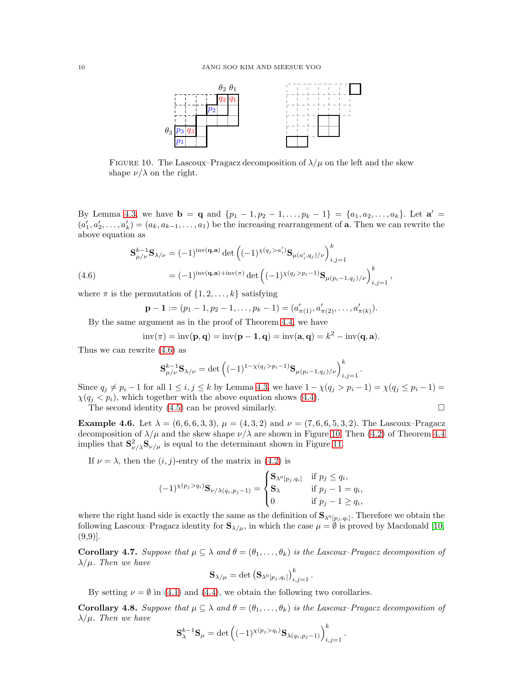

<span id="page-9-1"></span>FIGURE 10. The Lascoux–Pragacz decomposition of  $\lambda/\mu$  on the left and the skew shape  $\nu/\lambda$  on the right.

By Lemma [4.3,](#page-7-2) we have  $\mathbf{b} = \mathbf{q}$  and  $\{p_1 - 1, p_2 - 1, \ldots, p_k - 1\} = \{a_1, a_2, \ldots, a_k\}$ . Let  $\mathbf{a}' =$  $(a'_1, a'_2, \ldots, a'_k) = (a_k, a_{k-1}, \ldots, a_1)$  be the increasing rearrangement of **a**. Then we can rewrite the above equation as

(4.6) 
$$
\mathbf{S}_{\mu/\nu}^{k-1} \mathbf{S}_{\lambda/\nu} = (-1)^{\text{inv}(\mathbf{q}, \mathbf{a})} \det \left( (-1)^{\chi(q_j > a'_i)} \mathbf{S}_{\mu(a'_i, q_j)/\nu} \right)_{i,j=1}^k
$$

$$
= (-1)^{\text{inv}(\mathbf{q}, \mathbf{a}) + \text{inv}(\pi)} \det \left( (-1)^{\chi(q_j > p_i - 1)} \mathbf{S}_{\mu(p_i - 1, q_j)/\nu} \right)_{i,j=1}^k,
$$

<span id="page-9-0"></span>where  $\pi$  is the permutation of  $\{1, 2, \ldots, k\}$  satisfying

$$
\mathbf{p}-\mathbf{1}:=(p_1-1,p_2-1,\ldots,p_k-1)=(a'_{\pi(1)},a'_{\pi(2)},\ldots,a'_{\pi(k)}).
$$

By the same argument as in the proof of Theorem [4.4,](#page-8-3) we have

$$
inv(\pi) = inv(\mathbf{p}, \mathbf{q}) = inv(\mathbf{p} - \mathbf{1}, \mathbf{q}) = inv(\mathbf{a}, \mathbf{q}) = k^2 - inv(\mathbf{q}, \mathbf{a}).
$$

Thus we can rewrite [\(4.6\)](#page-9-0) as

$$
\mathbf{S}_{\mu/\nu}^{k-1} \mathbf{S}_{\lambda/\nu} = \det \left( (-1)^{1-\chi(q_j > p_i - 1)} \mathbf{S}_{\mu(p_i - 1, q_j)/\nu} \right)_{i,j=1}^k
$$

.

Since  $q_j \neq p_i - 1$  for all  $1 \leq i, j \leq k$  by Lemma [4.3,](#page-7-2) we have  $1 - \chi(q_j > p_i - 1) = \chi(q_j \leq p_i - 1)$  $\chi(q_i \langle p_i \rangle)$ , which together with the above equation shows [\(4.4\)](#page-8-4).

The second identity  $(4.5)$  can be proved similarly.

**Example 4.6.** Let  $\lambda = (6, 6, 6, 3, 3), \mu = (4, 3, 2)$  and  $\nu = (7, 6, 6, 5, 3, 2)$ . The Lascoux–Pragacz decomposition of  $\lambda/\mu$  and the skew shape  $\nu/\lambda$  are shown in Figure [10.](#page-9-1) Then [\(4.2\)](#page-8-2) of Theorem [4.4](#page-8-3) implies that  $S^2_{\nu/\lambda}S_{\nu/\mu}$  is equal to the determinant shown in Figure [11.](#page-10-0)

If  $\nu = \lambda$ , then the  $(i, j)$ -entry of the matrix in [\(4.2\)](#page-8-2) is

$$
(-1)^{\chi(p_j > q_i)} \mathbf{S}_{\nu/\lambda(q_i, p_j - 1)} = \begin{cases} \mathbf{S}_{\lambda^0[p_j, q_i]} & \text{if } p_j \le q_i, \\ \mathbf{S}_{\lambda} & \text{if } p_j - 1 = q_i, \\ 0 & \text{if } p_j - 1 \ge q_i, \end{cases}
$$

where the right hand side is exactly the same as the definition of  $\mathbf{S}_{\lambda^0[p_j,q_i]}$ . Therefore we obtain the following Lascoux–Pragacz identity for  $S_{\lambda/\mu}$ , in which the case  $\mu = \emptyset$  is proved by Macdonald [\[10,](#page-20-0)  $(9,9)$ .

**Corollary 4.7.** Suppose that  $\mu \subseteq \lambda$  and  $\theta = (\theta_1, \ldots, \theta_k)$  is the Lascoux–Pragacz decomposition of  $\lambda/\mu$ . Then we have

$$
\mathbf{S}_{\lambda/\mu}=\det\left(\mathbf{S}_{\lambda^0[p_j,q_i]}\right)_{i,j=1}^k.
$$

By setting  $\nu = \emptyset$  in [\(4.1\)](#page-8-1) and [\(4.4\)](#page-8-4), we obtain the following two corollaries.

<span id="page-9-2"></span>**Corollary 4.8.** Suppose that  $\mu \subseteq \lambda$  and  $\theta = (\theta_1, \ldots, \theta_k)$  is the Lascoux–Pragacz decomposition of  $\lambda/\mu$ . Then we have

$$
\mathbf{S}_{\lambda}^{k-1} \mathbf{S}_{\mu} = \det \left( (-1)^{\chi(p_j > q_i)} \mathbf{S}_{\lambda(q_i, p_j - 1)} \right)_{i,j=1}^k.
$$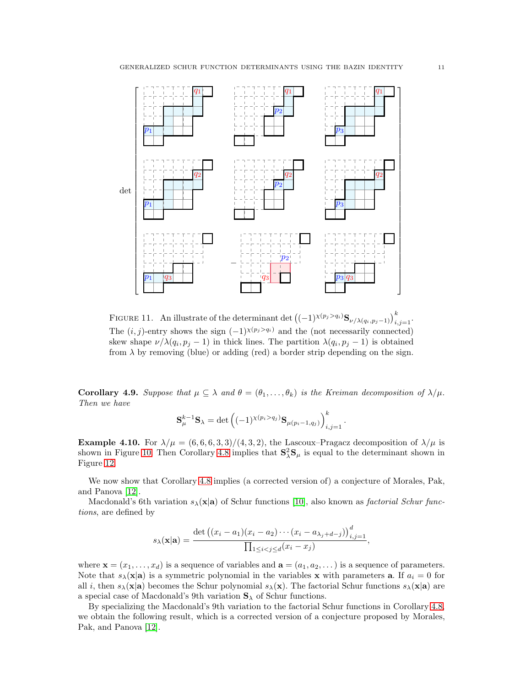

<span id="page-10-0"></span>FIGURE 11. An illustrate of the determinant det  $((-1)^{\chi(p_j > q_i)} \mathbf{S}_{\nu/\lambda(q_i, p_j-1)})_{i,j=1}^k$ . The  $(i, j)$ -entry shows the sign  $(-1)^{\chi(p_j > q_i)}$  and the (not necessarily connected) skew shape  $\nu/\lambda(q_i, p_j - 1)$  in thick lines. The partition  $\lambda(q_i, p_j - 1)$  is obtained from  $\lambda$  by removing (blue) or adding (red) a border strip depending on the sign.

**Corollary 4.9.** Suppose that  $\mu \subseteq \lambda$  and  $\theta = (\theta_1, \ldots, \theta_k)$  is the Kreiman decomposition of  $\lambda/\mu$ . Then we have

$$
\mathbf{S}_{\mu}^{k-1}\mathbf{S}_{\lambda} = \det \left( (-1)^{\chi(p_i > q_j)} \mathbf{S}_{\mu(p_i-1,q_j)} \right)_{i,j=1}^k.
$$

**Example 4.10.** For  $\lambda/\mu = (6, 6, 6, 3, 3)/(4, 3, 2)$ , the Lascoux–Pragacz decomposition of  $\lambda/\mu$  is shown in Figure [10.](#page-9-1) Then Corollary [4.8](#page-9-2) implies that  $S^2_{\lambda}S_{\mu}$  is equal to the determinant shown in Figure [12.](#page-11-0)

We now show that Corollary [4.8](#page-9-2) implies (a corrected version of) a conjecture of Morales, Pak, and Panova [\[12\]](#page-20-7).

Macdonald's 6th variation  $s_\lambda(\mathbf{x}|\mathbf{a})$  of Schur functions [\[10\]](#page-20-0), also known as *factorial Schur func*tions, are defined by

$$
s_{\lambda}(\mathbf{x}|\mathbf{a}) = \frac{\det ((x_i - a_1)(x_i - a_2) \cdots (x_i - a_{\lambda_j + d - j}))_{i,j=1}^d}{\prod_{1 \le i < j \le d} (x_i - x_j)},
$$

where  $\mathbf{x} = (x_1, \dots, x_d)$  is a sequence of variables and  $\mathbf{a} = (a_1, a_2, \dots)$  is a sequence of parameters. Note that  $s_\lambda(\mathbf{x}|\mathbf{a})$  is a symmetric polynomial in the variables **x** with parameters **a**. If  $a_i = 0$  for all i, then  $s_\lambda(\mathbf{x}|\mathbf{a})$  becomes the Schur polynomial  $s_\lambda(\mathbf{x})$ . The factorial Schur functions  $s_\lambda(\mathbf{x}|\mathbf{a})$  are a special case of Macdonald's 9th variation  $S_{\lambda}$  of Schur functions.

By specializing the Macdonald's 9th variation to the factorial Schur functions in Corollary [4.8,](#page-9-2) we obtain the following result, which is a corrected version of a conjecture proposed by Morales, Pak, and Panova [\[12\]](#page-20-7).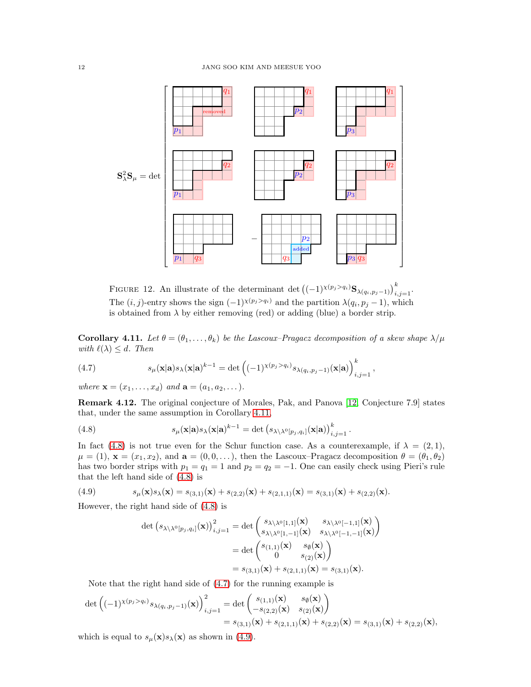

<span id="page-11-0"></span>FIGURE 12. An illustrate of the determinant det  $((-1)^{\chi(p_j>q_i)}\mathbf{S}_{\lambda(q_i,p_j-1)})_{i,j=1}^k$ . The  $(i, j)$ -entry shows the sign  $(-1)^{\chi(p_j > q_i)}$  and the partition  $\lambda(q_i, p_j - 1)$ , which is obtained from  $\lambda$  by either removing (red) or adding (blue) a border strip.

<span id="page-11-1"></span>**Corollary 4.11.** Let  $\theta = (\theta_1, \ldots, \theta_k)$  be the Lascoux–Pragacz decomposition of a skew shape  $\lambda/\mu$ with  $\ell(\lambda) \leq d$ . Then

,

<span id="page-11-3"></span>(4.7) 
$$
s_{\mu}(\mathbf{x}|\mathbf{a})s_{\lambda}(\mathbf{x}|\mathbf{a})^{k-1} = \det \left((-1)^{\chi(p_j > q_i)} s_{\lambda(q_i, p_j - 1)}(\mathbf{x}|\mathbf{a})\right)_{i,j=1}^k
$$

where  $\mathbf{x} = (x_1, ..., x_d)$  and  $\mathbf{a} = (a_1, a_2, ...)$ .

Remark 4.12. The original conjecture of Morales, Pak, and Panova [\[12,](#page-20-7) Conjecture 7.9] states that, under the same assumption in Corollary [4.11,](#page-11-1)

<span id="page-11-2"></span>(4.8) 
$$
s_{\mu}(\mathbf{x}|\mathbf{a})s_{\lambda}(\mathbf{x}|\mathbf{a})^{k-1} = \det (s_{\lambda \setminus \lambda^{0}[p_{j},q_{i}]}(\mathbf{x}|\mathbf{a}))_{i,j=1}^{k}.
$$

In fact [\(4.8\)](#page-11-2) is not true even for the Schur function case. As a counterexample, if  $\lambda = (2, 1)$ ,  $\mu = (1), \mathbf{x} = (x_1, x_2),$  and  $\mathbf{a} = (0, 0, \dots),$  then the Lascoux–Pragacz decomposition  $\theta = (\theta_1, \theta_2)$ has two border strips with  $p_1 = q_1 = 1$  and  $p_2 = q_2 = -1$ . One can easily check using Pieri's rule that the left hand side of [\(4.8\)](#page-11-2) is

(4.9) 
$$
s_{\mu}(\mathbf{x})s_{\lambda}(\mathbf{x}) = s_{(3,1)}(\mathbf{x}) + s_{(2,2)}(\mathbf{x}) + s_{(2,1,1)}(\mathbf{x}) = s_{(3,1)}(\mathbf{x}) + s_{(2,2)}(\mathbf{x}).
$$

However, the right hand side of [\(4.8\)](#page-11-2) is

<span id="page-11-4"></span>
$$
\det (s_{\lambda \setminus \lambda^0[p_j, q_i]}(\mathbf{x}))_{i,j=1}^2 = \det \begin{pmatrix} s_{\lambda \setminus \lambda^0[1,1]}(\mathbf{x}) & s_{\lambda \setminus \lambda^0[-1,1]}(\mathbf{x}) \\ s_{\lambda \setminus \lambda^0[1,-1]}(\mathbf{x}) & s_{\lambda \setminus \lambda^0[-1,-1]}(\mathbf{x}) \end{pmatrix}
$$

$$
= \det \begin{pmatrix} s_{(1,1)}(\mathbf{x}) & s_{\emptyset}(\mathbf{x}) \\ 0 & s_{(2)}(\mathbf{x}) \end{pmatrix}
$$

$$
= s_{(3,1)}(\mathbf{x}) + s_{(2,1,1)}(\mathbf{x}) = s_{(3,1)}(\mathbf{x}).
$$

Note that the right hand side of [\(4.7\)](#page-11-3) for the running example is

$$
\det \left( (-1)^{\chi(p_j > q_i)} s_{\lambda(q_i, p_j - 1)}(\mathbf{x}) \right)_{i,j=1}^2 = \det \begin{pmatrix} s_{(1,1)}(\mathbf{x}) & s_{\emptyset}(\mathbf{x}) \\ -s_{(2,2)}(\mathbf{x}) & s_{(2)}(\mathbf{x}) \end{pmatrix}
$$
  
=  $s_{(3,1)}(\mathbf{x}) + s_{(2,1,1)}(\mathbf{x}) + s_{(2,2)}(\mathbf{x}) = s_{(3,1)}(\mathbf{x}) + s_{(2,2)}(\mathbf{x}),$ 

which is equal to  $s_{\mu}(\mathbf{x})s_{\lambda}(\mathbf{x})$  as shown in [\(4.9\)](#page-11-4).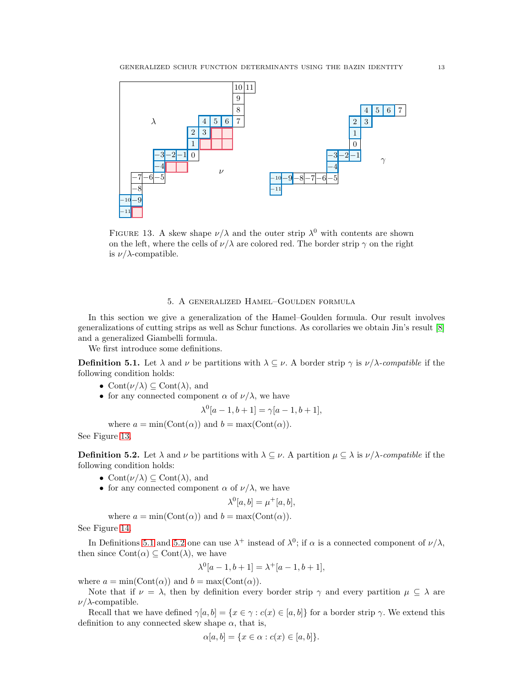

<span id="page-12-1"></span>FIGURE 13. A skew shape  $\nu/\lambda$  and the outer strip  $\lambda^0$  with contents are shown on the left, where the cells of  $\nu/\lambda$  are colored red. The border strip  $\gamma$  on the right is  $\nu/\lambda$ -compatible.

# 5. A generalized Hamel–Goulden formula

<span id="page-12-0"></span>In this section we give a generalization of the Hamel–Goulden formula. Our result involves generalizations of cutting strips as well as Schur functions. As corollaries we obtain Jin's result [\[8\]](#page-20-5) and a generalized Giambelli formula.

We first introduce some definitions.

<span id="page-12-2"></span>**Definition 5.1.** Let  $\lambda$  and  $\nu$  be partitions with  $\lambda \subseteq \nu$ . A border strip  $\gamma$  is  $\nu/\lambda$ -compatible if the following condition holds:

- Cont $(\nu/\lambda) \subseteq \text{Cont}(\lambda)$ , and
- for any connected component  $\alpha$  of  $\nu/\lambda$ , we have

$$
\lambda^{0}[a-1, b+1] = \gamma[a-1, b+1],
$$

where  $a = \min(\text{Cont}(\alpha))$  and  $b = \max(\text{Cont}(\alpha)).$ 

See Figure [13.](#page-12-1)

<span id="page-12-3"></span>**Definition 5.2.** Let  $\lambda$  and  $\nu$  be partitions with  $\lambda \subseteq \nu$ . A partition  $\mu \subseteq \lambda$  is  $\nu/\lambda$ -compatible if the following condition holds:

- Cont $(\nu/\lambda) \subseteq$  Cont $(\lambda)$ , and
- for any connected component  $\alpha$  of  $\nu/\lambda$ , we have

$$
\lambda^0[a, b] = \mu^+[a, b],
$$

where  $a = \min(\text{Cont}(\alpha))$  and  $b = \max(\text{Cont}(\alpha)).$ 

See Figure [14.](#page-13-0)

In Definitions [5.1](#page-12-2) and [5.2](#page-12-3) one can use  $\lambda^+$  instead of  $\lambda^0$ ; if  $\alpha$  is a connected component of  $\nu/\lambda$ , then since  $Cont(\alpha) \subseteq Cont(\lambda)$ , we have

$$
\lambda^{0}[a-1,b+1] = \lambda^{+}[a-1,b+1],
$$

where  $a = min(Cont(\alpha))$  and  $b = max(Cont(\alpha))$ .

Note that if  $\nu = \lambda$ , then by definition every border strip  $\gamma$  and every partition  $\mu \subseteq \lambda$  are  $\nu/\lambda$ -compatible.

Recall that we have defined  $\gamma[a, b] = \{x \in \gamma : c(x) \in [a, b]\}$  for a border strip  $\gamma$ . We extend this definition to any connected skew shape  $\alpha$ , that is,

$$
\alpha[a, b] = \{x \in \alpha : c(x) \in [a, b]\}.
$$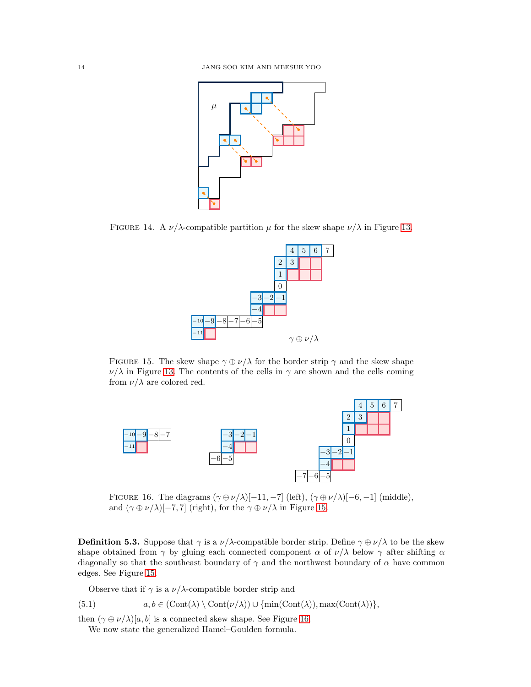

FIGURE 14. A  $\nu/\lambda$ -compatible partition  $\mu$  for the skew shape  $\nu/\lambda$  in Figure [13.](#page-12-1)

<span id="page-13-0"></span>

<span id="page-13-1"></span>FIGURE 15. The skew shape  $\gamma \oplus \nu/\lambda$  for the border strip  $\gamma$  and the skew shape  $\nu/\lambda$  in Figure [13.](#page-12-1) The contents of the cells in  $\gamma$  are shown and the cells coming from  $\nu/\lambda$  are colored red.



<span id="page-13-2"></span>FIGURE 16. The diagrams  $(\gamma \oplus \nu/\lambda)[-11, -7]$  (left),  $(\gamma \oplus \nu/\lambda)[-6, -1]$  (middle), and  $(\gamma \oplus \nu/\lambda)[-7, 7]$  (right), for the  $\gamma \oplus \nu/\lambda$  in Figure [15.](#page-13-1)

**Definition 5.3.** Suppose that  $\gamma$  is a  $\nu/\lambda$ -compatible border strip. Define  $\gamma \oplus \nu/\lambda$  to be the skew shape obtained from  $\gamma$  by gluing each connected component  $\alpha$  of  $\nu/\lambda$  below  $\gamma$  after shifting  $\alpha$ diagonally so that the southeast boundary of  $\gamma$  and the northwest boundary of  $\alpha$  have common edges. See Figure [15.](#page-13-1)

Observe that if  $\gamma$  is a  $\nu/\lambda$ -compatible border strip and

(5.1) 
$$
a, b \in (Cont(\lambda) \setminus Cont(\nu/\lambda)) \cup \{min(Cont(\lambda)), max(Cont(\lambda))\},\
$$

then  $(\gamma \oplus \nu/\lambda)[a, b]$  is a connected skew shape. See Figure [16.](#page-13-2)

We now state the generalized Hamel–Goulden formula.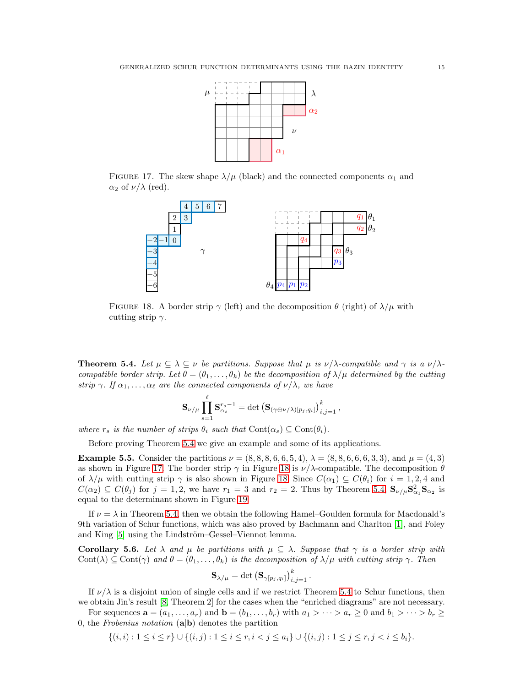

FIGURE 17. The skew shape  $\lambda/\mu$  (black) and the connected components  $\alpha_1$  and  $\alpha_2$  of  $\nu/\lambda$  (red).

<span id="page-14-1"></span>

<span id="page-14-2"></span>FIGURE 18. A border strip  $\gamma$  (left) and the decomposition  $\theta$  (right) of  $\lambda/\mu$  with cutting strip  $\gamma$ .

<span id="page-14-0"></span>**Theorem 5.4.** Let  $\mu \subseteq \lambda \subseteq \nu$  be partitions. Suppose that  $\mu$  is  $\nu/\lambda$ -compatible and  $\gamma$  is a  $\nu/\lambda$ compatible border strip. Let  $\theta = (\theta_1, \ldots, \theta_k)$  be the decomposition of  $\lambda/\mu$  determined by the cutting strip  $\gamma$ . If  $\alpha_1, \ldots, \alpha_\ell$  are the connected components of  $\nu/\lambda$ , we have

$$
\mathbf{S}_{\nu/\mu} \prod_{s=1}^{\ell} \mathbf{S}_{\alpha_s}^{r_s-1} = \det \left( \mathbf{S}_{(\gamma \oplus \nu/\lambda)[p_j, q_i]} \right)_{i,j=1}^k,
$$

where  $r_s$  is the number of strips  $\theta_i$  such that  $Cont(\alpha_s) \subseteq Cont(\theta_i)$ .

Before proving Theorem [5.4](#page-14-0) we give an example and some of its applications.

**Example 5.5.** Consider the partitions  $\nu = (8, 8, 8, 6, 6, 5, 4), \lambda = (8, 8, 6, 6, 6, 3, 3),$  and  $\mu = (4, 3)$ as shown in Figure [17.](#page-14-1) The border strip  $\gamma$  in Figure [18](#page-14-2) is  $\nu/\lambda$ -compatible. The decomposition  $\theta$ of  $\lambda/\mu$  with cutting strip  $\gamma$  is also shown in Figure [18.](#page-14-2) Since  $C(\alpha_1) \subseteq C(\theta_i)$  for  $i = 1, 2, 4$  and  $C(\alpha_2) \subseteq C(\theta_j)$  for  $j = 1, 2$ , we have  $r_1 = 3$  and  $r_2 = 2$ . Thus by Theorem [5.4,](#page-14-0)  $\mathbf{S}_{\nu/\mu} \mathbf{S}_{\alpha_1}^2 \mathbf{S}_{\alpha_2}$  is equal to the determinant shown in Figure [19.](#page-15-0)

If  $\nu = \lambda$  in Theorem [5.4,](#page-14-0) then we obtain the following Hamel–Goulden formula for Macdonald's 9th variation of Schur functions, which was also proved by Bachmann and Charlton [\[1\]](#page-20-8), and Foley and King [\[5\]](#page-20-9) using the Lindström–Gessel–Viennot lemma.

Corollary 5.6. Let  $\lambda$  and  $\mu$  be partitions with  $\mu \subseteq \lambda$ . Suppose that  $\gamma$  is a border strip with Cont( $\lambda$ )  $\subseteq$  Cont( $\gamma$ ) and  $\theta = (\theta_1, \ldots, \theta_k)$  is the decomposition of  $\lambda/\mu$  with cutting strip  $\gamma$ . Then

$$
\mathbf{S}_{\lambda/\mu} = \det \left(\mathbf{S}_{\gamma[p_j, q_i]}\right)_{i,j=1}^k.
$$

If  $\nu/\lambda$  is a disjoint union of single cells and if we restrict Theorem [5.4](#page-14-0) to Schur functions, then we obtain Jin's result [\[8,](#page-20-5) Theorem 2] for the cases when the "enriched diagrams" are not necessary.

For sequences  $\mathbf{a} = (a_1, \ldots, a_r)$  and  $\mathbf{b} = (b_1, \ldots, b_r)$  with  $a_1 > \cdots > a_r \geq 0$  and  $b_1 > \cdots > b_r \geq 0$ 0, the Frobenius notation  $(a|b)$  denotes the partition

$$
\{(i,i): 1 \leq i \leq r\} \cup \{(i,j): 1 \leq i \leq r, i < j \leq a_i\} \cup \{(i,j): 1 \leq j \leq r, j < i \leq b_i\}.
$$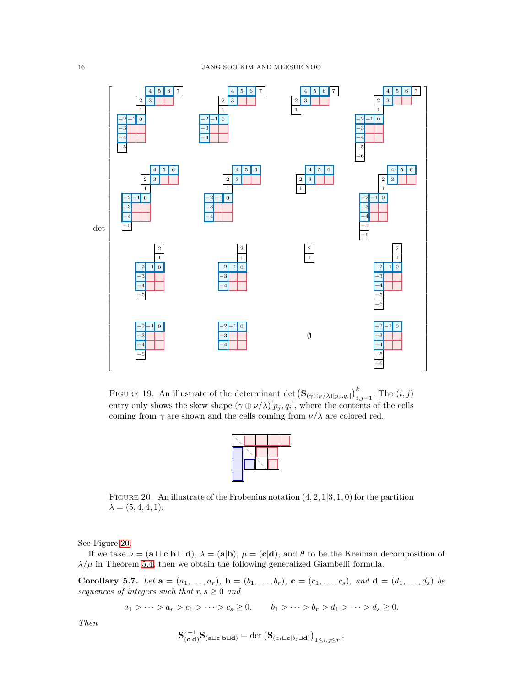

<span id="page-15-0"></span>FIGURE 19. An illustrate of the determinant det  $\left(\mathbf{S}_{(\gamma\oplus \nu/\lambda)[p_j,q_i]}\right)_{i,j=1}^k$ . The  $(i,j)$ entry only shows the skew shape  $(\gamma \oplus \nu/\lambda)[p_j, q_i]$ , where the contents of the cells coming from  $\gamma$  are shown and the cells coming from  $\nu/\lambda$  are colored red.

<span id="page-15-1"></span>FIGURE 20. An illustrate of the Frobenius notation  $(4, 2, 1|3, 1, 0)$  for the partition  $\lambda = (5, 4, 4, 1).$ 

See Figure [20.](#page-15-1)

If we take  $\nu = (a \sqcup c \mid b \sqcup d), \lambda = (a \mid b), \mu = (c \mid d)$ , and  $\theta$  to be the Kreiman decomposition of  $\lambda/\mu$  in Theorem [5.4,](#page-14-0) then we obtain the following generalized Giambelli formula.

<span id="page-15-2"></span>Corollary 5.7. Let  $\mathbf{a} = (a_1, ..., a_r)$ ,  $\mathbf{b} = (b_1, ..., b_r)$ ,  $\mathbf{c} = (c_1, ..., c_s)$ , and  $\mathbf{d} = (d_1, ..., d_s)$  be sequences of integers such that  $r, s \geq 0$  and

 $a_1 > \cdots > a_r > c_1 > \cdots > c_s \ge 0, \qquad b_1 > \cdots > b_r > d_1 > \cdots > d_s \ge 0.$ 

Then

$$
\mathbf{S}_{(\mathbf{c}|\mathbf{d})}^{r-1}\mathbf{S}_{(\mathbf{a}\sqcup\mathbf{c}|\mathbf{b}\sqcup\mathbf{d})}=\det\left(\mathbf{S}_{(a_i\sqcup\mathbf{c}|b_j\sqcup\mathbf{d})}\right)_{1\leq i,j\leq r}.
$$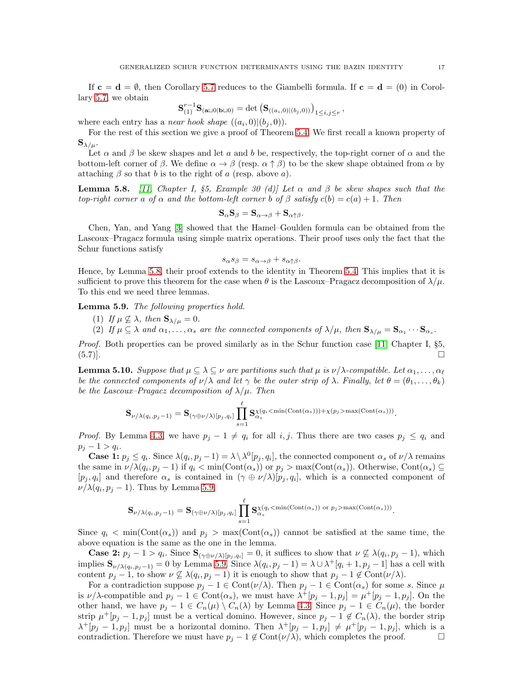If  $c = d = \emptyset$ , then Corollary [5.7](#page-15-2) reduces to the Giambelli formula. If  $c = d = (0)$  in Corollary [5.7,](#page-15-2) we obtain

$$
\mathbf{S}_{(1)}^{r-1}\mathbf{S}_{(\mathbf{a}\sqcup 0|\mathbf{b}\sqcup 0)} = \det\left(\mathbf{S}_{((a_i,0)|(b_j,0))}\right)_{1\leq i,j\leq r},\,
$$

where each entry has a *near hook shape*  $((a_i, 0) | (b_j, 0))$ .

For the rest of this section we give a proof of Theorem [5.4.](#page-14-0) We first recall a known property of  ${\bf S}_{\lambda/\mu}$ .

Let  $\alpha$  and  $\beta$  be skew shapes and let a and b be, respectively, the top-right corner of  $\alpha$  and the bottom-left corner of  $\beta$ . We define  $\alpha \to \beta$  (resp.  $\alpha \uparrow \beta$ ) to be the skew shape obtained from  $\alpha$  by attaching  $\beta$  so that b is to the right of a (resp. above a).

<span id="page-16-0"></span>**Lemma 5.8.** [\[11,](#page-20-12) Chapter I, §5, Example 30 (d)] Let  $\alpha$  and  $\beta$  be skew shapes such that the top-right corner a of  $\alpha$  and the bottom-left corner b of  $\beta$  satisfy  $c(b) = c(a) + 1$ . Then

$$
\mathbf{S}_{\alpha}\mathbf{S}_{\beta} = \mathbf{S}_{\alpha \to \beta} + \mathbf{S}_{\alpha \uparrow \beta}.
$$

Chen, Yan, and Yang [\[3\]](#page-20-4) showed that the Hamel–Goulden formula can be obtained from the Lascoux–Pragacz formula using simple matrix operations. Their proof uses only the fact that the Schur functions satisfy

$$
s_{\alpha}s_{\beta}=s_{\alpha\to\beta}+s_{\alpha\uparrow\beta}.
$$

Hence, by Lemma [5.8,](#page-16-0) their proof extends to the identity in Theorem [5.4.](#page-14-0) This implies that it is sufficient to prove this theorem for the case when  $\theta$  is the Lascoux–Pragacz decomposition of  $\lambda/\mu$ . To this end we need three lemmas.

<span id="page-16-1"></span>Lemma 5.9. The following properties hold.

- (1) If  $\mu \not\subseteq \lambda$ , then  $\mathbf{S}_{\lambda/\mu} = 0$ .
- (2) If  $\mu \subseteq \lambda$  and  $\alpha_1, \ldots, \alpha_s$  are the connected components of  $\lambda/\mu$ , then  $\mathbf{S}_{\lambda/\mu} = \mathbf{S}_{\alpha_1} \cdots \mathbf{S}_{\alpha_s}$ .

Proof. Both properties can be proved similarly as in the Schur function case [\[11,](#page-20-12) Chapter I, §5,  $(5.7)$ ].

<span id="page-16-2"></span>**Lemma 5.10.** Suppose that  $\mu \subseteq \lambda \subseteq \nu$  are partitions such that  $\mu$  is  $\nu/\lambda$ -compatible. Let  $\alpha_1, \ldots, \alpha_\ell$ be the connected components of  $\nu/\lambda$  and let  $\gamma$  be the outer strip of  $\lambda$ . Finally, let  $\theta = (\theta_1, \ldots, \theta_k)$ be the Lascoux–Pragacz decomposition of  $\lambda/\mu$ . Then

$$
\mathbf{S}_{\nu/\lambda(q_i,p_j-1)}=\mathbf{S}_{(\gamma\oplus\nu/\lambda)[p_j,q_i]}\prod_{s=1}^\ell \mathbf{S}_{\alpha_s}^{\chi(q_i\leq \min(\mathrm{Cont}(\alpha_s)))+\chi(p_j>\max(\mathrm{Cont}(\alpha_s)))}.
$$

*Proof.* By Lemma [4.3,](#page-7-2) we have  $p_j - 1 \neq q_i$  for all i, j. Thus there are two cases  $p_j \leq q_i$  and  $p_j - 1 > q_i.$ 

**Case 1:**  $p_j \le q_i$ . Since  $\lambda(q_i, p_j - 1) = \lambda \setminus \lambda^0[p_j, q_i]$ , the connected component  $\alpha_s$  of  $\nu/\lambda$  remains the same in  $\nu/\lambda(q_i, p_j - 1)$  if  $q_i < \min(\text{Cont}(\alpha_s))$  or  $p_j > \max(\text{Cont}(\alpha_s))$ . Otherwise,  $\text{Cont}(\alpha_s) \subseteq$  $[p_j, q_i]$  and therefore  $\alpha_s$  is contained in  $(\gamma \oplus \nu/\lambda)[p_j, q_i]$ , which is a connected component of  $\nu/\lambda(q_i, p_j - 1)$ . Thus by Lemma [5.9,](#page-16-1)

$$
\mathbf{S}_{\nu/\lambda(q_i,p_j-1)}=\mathbf{S}_{(\gamma\oplus\nu/\lambda)[p_j,q_i]}\prod_{s=1}^\ell \mathbf{S}_{\alpha_s}^{\chi(q_i\text{}<\min(\text{Cont}(\alpha_s))\text{ or }p_j\text{>max}(\text{Cont}(\alpha_s)))}.
$$

Since  $q_i$  < min(Cont $(\alpha_s)$ ) and  $p_i > \max(\text{Cont}(\alpha_s))$  cannot be satisfied at the same time, the above equation is the same as the one in the lemma.

**Case 2:**  $p_j - 1 > q_i$ . Since  $\mathbf{S}_{(\gamma \oplus \nu/\lambda)[p_j, q_i]} = 0$ , it suffices to show that  $\nu \not\subseteq \lambda(q_i, p_j - 1)$ , which implies  $\mathbf{S}_{\nu/\lambda(q_i,p_j-1)}=0$  by Lemma [5.9.](#page-16-1) Since  $\lambda(q_i,p_j-1)=\lambda\cup\lambda^+[q_i+1,p_j-1]$  has a cell with content  $p_j - 1$ , to show  $\nu \nsubseteq \lambda(q_i, p_j - 1)$  it is enough to show that  $p_j - 1 \notin \text{Cont}(\nu/\lambda)$ .

For a contradiction suppose  $p_j - 1 \in \text{Cont}(\nu/\lambda)$ . Then  $p_j - 1 \in \text{Cont}(\alpha_s)$  for some s. Since  $\mu$ is  $\nu/\lambda$ -compatible and  $p_j - 1 \in \text{Cont}(\alpha_s)$ , we must have  $\lambda^+[p_j - 1, p_j] = \mu^+[p_j - 1, p_j]$ . On the other hand, we have  $p_j - 1 \in C_n(\mu) \setminus C_n(\lambda)$  by Lemma [4.3.](#page-7-2) Since  $p_j - 1 \in C_n(\mu)$ , the border strip  $\mu^+[p_j-1,p_j]$  must be a vertical domino. However, since  $p_j-1 \notin C_n(\lambda)$ , the border strip  $\lambda^+[p_j-1,p_j]$  must be a horizontal domino. Then  $\lambda^+[p_j-1,p_j] \neq \mu^+[p_j-1,p_j]$ , which is a contradiction. Therefore we must have  $p_i - 1 \notin Cont(\nu/\lambda)$ , which completes the proof.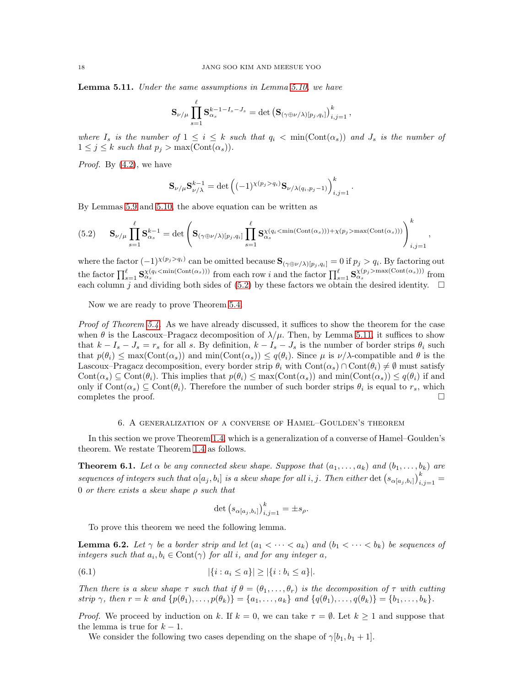<span id="page-17-2"></span>**Lemma 5.11.** Under the same assumptions in Lemma [5.10,](#page-16-2) we have

$$
\mathbf{S}_{\nu/\mu} \prod_{s=1}^\ell \mathbf{S}_{\alpha_s}^{k-1-I_s-J_s} = \det \left(\mathbf{S}_{(\gamma \oplus \nu/\lambda)[p_j,q_i]}\right)_{i,j=1}^k,
$$

where  $I_s$  is the number of  $1 \leq i \leq k$  such that  $q_i < \min(\text{Cont}(\alpha_s))$  and  $J_s$  is the number of  $1 \leq j \leq k$  such that  $p_j > \max(\text{Cont}(\alpha_s)).$ 

Proof. By  $(4.2)$ , we have

$$
\mathbf{S}_{\nu/\mu}\mathbf{S}_{\nu/\lambda}^{k-1} = \det \left( (-1)^{\chi(p_j > q_i)} \mathbf{S}_{\nu/\lambda(q_i, p_j - 1)} \right)_{i,j=1}^k.
$$

By Lemmas [5.9](#page-16-1) and [5.10,](#page-16-2) the above equation can be written as

<span id="page-17-1"></span>
$$
(5.2) \t\mathbf{S}_{\nu/\mu} \prod_{s=1}^{\ell} \mathbf{S}_{\alpha_s}^{k-1} = \det \left( \mathbf{S}_{(\gamma \oplus \nu/\lambda)[p_j, q_i]} \prod_{s=1}^{\ell} \mathbf{S}_{\alpha_s}^{\chi(q_i < \min(\text{Cont}(\alpha_s))) + \chi(p_j > \max(\text{Cont}(\alpha_s)))} \right)_{i,j=1}^k,
$$

where the factor  $(-1)^{\chi(p_j > q_i)}$  can be omitted because  $\mathbf{S}_{(\gamma \oplus \nu/\lambda)[p_j, q_i]} = 0$  if  $p_j > q_i$ . By factoring out the factor  $\prod_{s=1}^{\ell} \mathbf{S}_{\alpha_s}^{\chi(q_i \leq \min(\text{Cont}(\alpha_s)))}$  from each row i and the factor  $\prod_{s=1}^{\ell} \mathbf{S}_{\alpha_s}^{\chi(p_j > \max(\text{Cont}(\alpha_s)))}$  from each column j and dividing both sides of [\(5.2\)](#page-17-1) by these factors we obtain the desired identity.  $\square$ 

Now we are ready to prove Theorem [5.4.](#page-14-0)

*Proof of Theorem [5.4.](#page-14-0)* As we have already discussed, it suffices to show the theorem for the case when  $\theta$  is the Lascoux–Pragacz decomposition of  $\lambda/\mu$ . Then, by Lemma [5.11,](#page-17-2) it suffices to show that  $k - I_s - J_s = r_s$  for all s. By definition,  $k - I_s - J_s$  is the number of border strips  $\theta_i$  such that  $p(\theta_i) \leq \max(\text{Cont}(\alpha_s))$  and  $\min(\text{Cont}(\alpha_s)) \leq q(\theta_i)$ . Since  $\mu$  is  $\nu/\lambda$ -compatible and  $\theta$  is the Lascoux–Pragacz decomposition, every border strip  $\theta_i$  with  $Cont(\alpha_s) \cap Cont(\theta_i) \neq \emptyset$  must satisfy  $Cont(\alpha_s) \subseteq Cont(\theta_i)$ . This implies that  $p(\theta_i) \leq max(Cont(\alpha_s))$  and  $min(Cont(\alpha_s)) \leq q(\theta_i)$  if and only if  $Cont(\alpha_s) \subseteq Cont(\theta_i)$ . Therefore the number of such border strips  $\theta_i$  is equal to  $r_s$ , which completes the proof.

#### 6. A generalization of a converse of Hamel–Goulden's theorem

<span id="page-17-0"></span>In this section we prove Theorem [1.4,](#page-1-5) which is a generalization of a converse of Hamel–Goulden's theorem. We restate Theorem [1.4](#page-1-5) as follows.

<span id="page-17-5"></span>**Theorem 6.1.** Let  $\alpha$  be any connected skew shape. Suppose that  $(a_1, \ldots, a_k)$  and  $(b_1, \ldots, b_k)$  are sequences of integers such that  $\alpha[a_j,b_i]$  is a skew shape for all i, j. Then either  $\det (s_{\alpha[a_j,b_i]})_{i,j=1}^k =$ 0 or there exists a skew shape  $\rho$  such that

<span id="page-17-3"></span>
$$
\det (s_{\alpha[a_j,b_i]})_{i,j=1}^k = \pm s_\rho.
$$

To prove this theorem we need the following lemma.

<span id="page-17-4"></span>**Lemma 6.2.** Let  $\gamma$  be a border strip and let  $(a_1 < \cdots < a_k)$  and  $(b_1 < \cdots < b_k)$  be sequences of integers such that  $a_i, b_i \in \text{Cont}(\gamma)$  for all i, and for any integer a,

(6.1) 
$$
|\{i : a_i \le a\}| \ge |\{i : b_i \le a\}|.
$$

Then there is a skew shape  $\tau$  such that if  $\theta = (\theta_1, \dots, \theta_r)$  is the decomposition of  $\tau$  with cutting strip  $\gamma$ , then  $r = k$  and  $\{p(\theta_1), \ldots, p(\theta_k)\} = \{a_1, \ldots, a_k\}$  and  $\{q(\theta_1), \ldots, q(\theta_k)\} = \{b_1, \ldots, b_k\}.$ 

*Proof.* We proceed by induction on k. If  $k = 0$ , we can take  $\tau = \emptyset$ . Let  $k \ge 1$  and suppose that the lemma is true for  $k-1$ .

We consider the following two cases depending on the shape of  $\gamma[b_1, b_1 + 1]$ .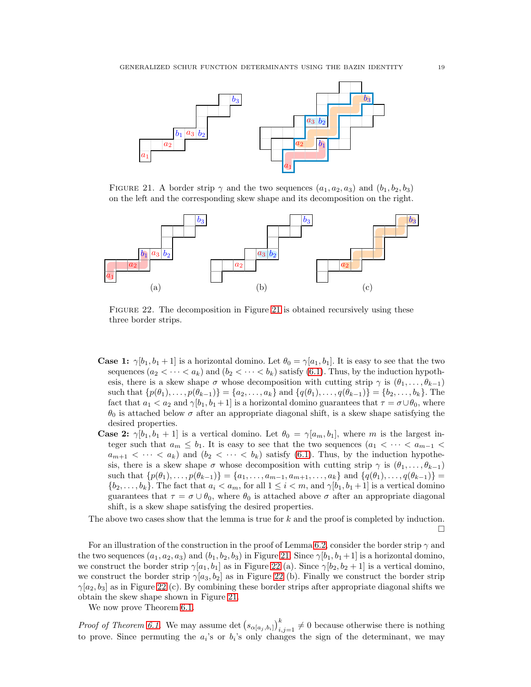

<span id="page-18-0"></span>FIGURE 21. A border strip  $\gamma$  and the two sequences  $(a_1, a_2, a_3)$  and  $(b_1, b_2, b_3)$ on the left and the corresponding skew shape and its decomposition on the right.



<span id="page-18-1"></span>Figure 22. The decomposition in Figure [21](#page-18-0) is obtained recursively using these three border strips.

- **Case 1:**  $\gamma[b_1, b_1 + 1]$  is a horizontal domino. Let  $\theta_0 = \gamma[a_1, b_1]$ . It is easy to see that the two sequences  $(a_2 < \cdots < a_k)$  and  $(b_2 < \cdots < b_k)$  satisfy [\(6.1\)](#page-17-3). Thus, by the induction hypothesis, there is a skew shape  $\sigma$  whose decomposition with cutting strip  $\gamma$  is  $(\theta_1, \ldots, \theta_{k-1})$ such that  $\{p(\theta_1), \ldots, p(\theta_{k-1})\} = \{a_2, \ldots, a_k\}$  and  $\{q(\theta_1), \ldots, q(\theta_{k-1})\} = \{b_2, \ldots, b_k\}$ . The fact that  $a_1 < a_2$  and  $\gamma[b_1, b_1 + 1]$  is a horizontal domino guarantees that  $\tau = \sigma \cup \theta_0$ , where  $\theta_0$  is attached below  $\sigma$  after an appropriate diagonal shift, is a skew shape satisfying the desired properties.
- **Case 2:**  $\gamma[b_1, b_1 + 1]$  is a vertical domino. Let  $\theta_0 = \gamma[a_m, b_1]$ , where m is the largest integer such that  $a_m \leq b_1$ . It is easy to see that the two sequences  $(a_1 < \cdots < a_{m-1} < a_m)$  $a_{m+1} < \cdots < a_k$  and  $(b_2 < \cdots < b_k)$  satisfy [\(6.1\)](#page-17-3). Thus, by the induction hypothesis, there is a skew shape  $\sigma$  whose decomposition with cutting strip  $\gamma$  is  $(\theta_1, \ldots, \theta_{k-1})$ such that  $\{p(\theta_1), \ldots, p(\theta_{k-1})\} = \{a_1, \ldots, a_{m-1}, a_{m+1}, \ldots, a_k\}$  and  $\{q(\theta_1), \ldots, q(\theta_{k-1})\}$  ${b_2, \ldots, b_k}$ . The fact that  $a_i < a_m$ , for all  $1 \leq i < m$ , and  $\gamma[b_1, b_1 + 1]$  is a vertical domino guarantees that  $\tau = \sigma \cup \theta_0$ , where  $\theta_0$  is attached above  $\sigma$  after an appropriate diagonal shift, is a skew shape satisfying the desired properties.

The above two cases show that the lemma is true for  $k$  and the proof is completed by induction.  $\Box$ 

For an illustration of the construction in the proof of Lemma [6.2,](#page-17-4) consider the border strip  $\gamma$  and the two sequences  $(a_1, a_2, a_3)$  and  $(b_1, b_2, b_3)$  in Figure [21.](#page-18-0) Since  $\gamma[b_1, b_1+1]$  is a horizontal domino, we construct the border strip  $\gamma[a_1, b_1]$  as in Figure [22](#page-18-1) (a). Since  $\gamma[b_2, b_2 + 1]$  is a vertical domino, we construct the border strip  $\gamma[a_3, b_2]$  as in Figure [22](#page-18-1) (b). Finally we construct the border strip  $\gamma[a_2, b_3]$  as in Figure [22](#page-18-1) (c). By combining these border strips after appropriate diagonal shifts we obtain the skew shape shown in Figure [21.](#page-18-0)

We now prove Theorem [6.1.](#page-17-5)

*Proof of Theorem [6.1.](#page-17-5)* We may assume det  $(s_{\alpha[a_j,b_i]})_{i,j=1}^k \neq 0$  because otherwise there is nothing to prove. Since permuting the  $a_i$ 's or  $b_i$ 's only changes the sign of the determinant, we may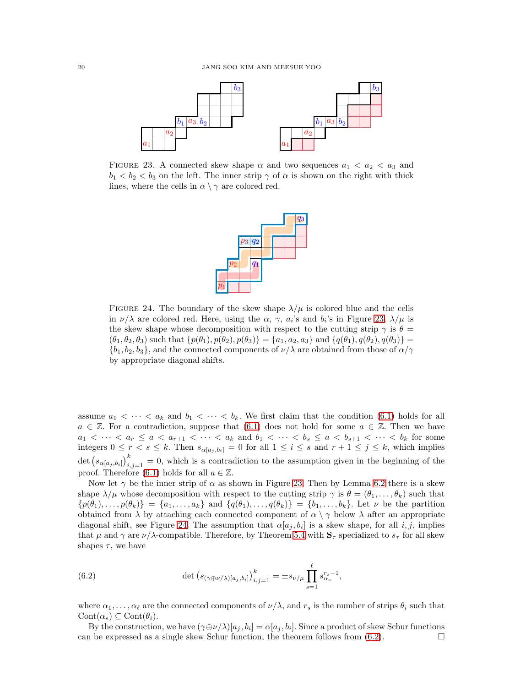

<span id="page-19-0"></span>FIGURE 23. A connected skew shape  $\alpha$  and two sequences  $a_1 < a_2 < a_3$  and  $b_1 < b_2 < b_3$  on the left. The inner strip  $\gamma$  of  $\alpha$  is shown on the right with thick lines, where the cells in  $\alpha \setminus \gamma$  are colored red.



<span id="page-19-1"></span>FIGURE 24. The boundary of the skew shape  $\lambda/\mu$  is colored blue and the cells in  $\nu/\lambda$  are colored red. Here, using the  $\alpha$ ,  $\gamma$ ,  $a_i$ 's and  $b_i$ 's in Figure [23,](#page-19-0)  $\lambda/\mu$  is the skew shape whose decomposition with respect to the cutting strip  $\gamma$  is  $\theta =$  $(\theta_1, \theta_2, \theta_3)$  such that  $\{p(\theta_1), p(\theta_2), p(\theta_3)\} = \{a_1, a_2, a_3\}$  and  $\{q(\theta_1), q(\theta_2), q(\theta_3)\} =$  ${b_1, b_2, b_3}$ , and the connected components of  $\nu/\lambda$  are obtained from those of  $\alpha/\gamma$ by appropriate diagonal shifts.

assume  $a_1 < \cdots < a_k$  and  $b_1 < \cdots < b_k$ . We first claim that the condition [\(6.1\)](#page-17-3) holds for all  $a \in \mathbb{Z}$ . For a contradiction, suppose that [\(6.1\)](#page-17-3) does not hold for some  $a \in \mathbb{Z}$ . Then we have  $a_1 < \cdots < a_r \le a < a_{r+1} < \cdots < a_k$  and  $b_1 < \cdots < b_s \le a < b_{s+1} < \cdots < b_k$  for some integers  $0 \leq r < s \leq k$ . Then  $s_{\alpha[a_j,b_i]} = 0$  for all  $1 \leq i \leq s$  and  $r + 1 \leq j \leq k$ , which implies det  $(s_{\alpha[a_j,b_i]})_{i,j=1}^k=0$ , which is a contradiction to the assumption given in the beginning of the proof. Therefore [\(6.1\)](#page-17-3) holds for all  $a \in \mathbb{Z}$ .

Now let  $\gamma$  be the inner strip of  $\alpha$  as shown in Figure [23.](#page-19-0) Then by Lemma [6.2](#page-17-4) there is a skew shape  $\lambda/\mu$  whose decomposition with respect to the cutting strip  $\gamma$  is  $\theta = (\theta_1, \dots, \theta_k)$  such that  $\{p(\theta_1),\ldots,p(\theta_k)\} = \{a_1,\ldots,a_k\}$  and  $\{q(\theta_1),\ldots,q(\theta_k)\} = \{b_1,\ldots,b_k\}$ . Let  $\nu$  be the partition obtained from  $\lambda$  by attaching each connected component of  $\alpha \setminus \gamma$  below  $\lambda$  after an appropriate diagonal shift, see Figure [24.](#page-19-1) The assumption that  $\alpha[a_j, b_i]$  is a skew shape, for all  $i, j$ , implies that  $\mu$  and  $\gamma$  are  $\nu/\lambda$ -compatible. Therefore, by Theorem [5.4](#page-14-0) with  $S_\tau$  specialized to  $s_\tau$  for all skew shapes  $\tau$ , we have

<span id="page-19-2"></span>(6.2) 
$$
\det (s_{(\gamma \oplus \nu/\lambda)[a_j,b_i]})_{i,j=1}^k = \pm s_{\nu/\mu} \prod_{s=1}^{\ell} s_{\alpha_s}^{r_s - 1},
$$

where  $\alpha_1, \ldots, \alpha_\ell$  are the connected components of  $\nu/\lambda$ , and  $r_s$  is the number of strips  $\theta_i$  such that  $Cont(\alpha_s) \subseteq Cont(\theta_i).$ 

By the construction, we have  $(\gamma \oplus \nu/\lambda)[a_j, b_i] = \alpha[a_j, b_i]$ . Since a product of skew Schur functions can be expressed as a single skew Schur function, the theorem follows from  $(6.2)$ .